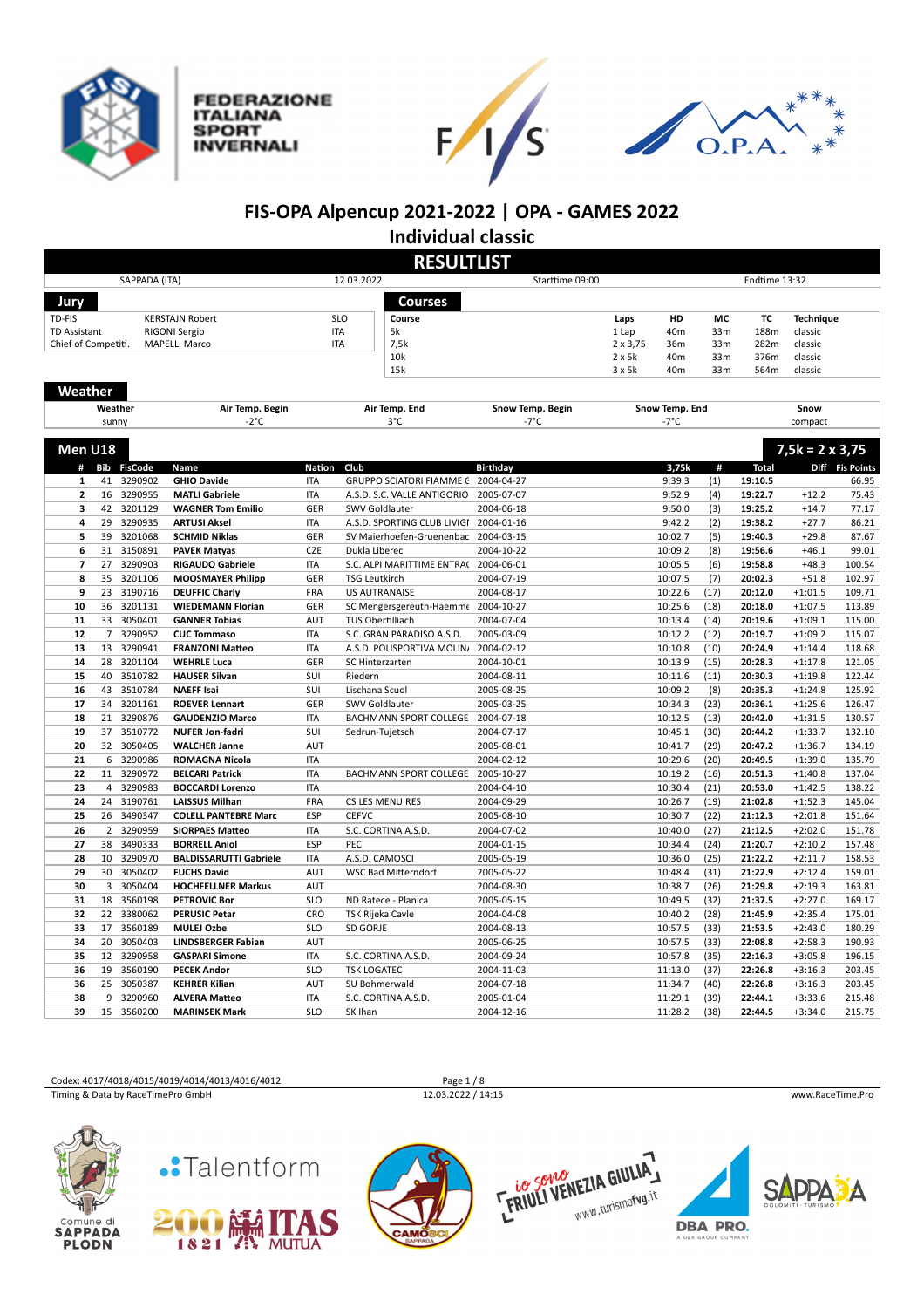







# **FIS-OPA Alpencup 2021-2022 | OPA - GAMES 2022**

**Individual classic**

|                         | <b>RESULTLIST</b> |               |                               |               |                                     |                  |                                  |                |                                    |               |                        |                 |
|-------------------------|-------------------|---------------|-------------------------------|---------------|-------------------------------------|------------------|----------------------------------|----------------|------------------------------------|---------------|------------------------|-----------------|
|                         |                   | SAPPADA (ITA) |                               |               | 12.03.2022                          | Starttime 09:00  |                                  |                |                                    | Endtime 13:32 |                        |                 |
|                         |                   |               |                               |               |                                     |                  |                                  |                |                                    |               |                        |                 |
| Jury                    |                   |               |                               |               | <b>Courses</b>                      |                  |                                  |                |                                    |               |                        |                 |
| TD-FIS                  |                   |               | <b>KERSTAJN Robert</b>        |               | <b>SLO</b><br>Course                |                  | Laps                             | HD             | МC                                 | TC            | <b>Technique</b>       |                 |
| <b>TD Assistant</b>     |                   |               | RIGONI Sergio                 |               | <b>ITA</b><br>5k<br>7,5k            |                  | 1 Lap                            | 40m            | 33 <sub>m</sub>                    | 188m          | classic                |                 |
| Chief of Competiti.     |                   |               | <b>MAPELLI Marco</b>          |               | <b>ITA</b><br>10k                   |                  | $2 \times 3,75$<br>$2 \times 5k$ | 36m<br>40m     | 33 <sub>m</sub><br>33 <sub>m</sub> | 282m<br>376m  | classic<br>classic     |                 |
|                         |                   |               |                               |               | 15k                                 |                  | 3x5k                             | 40m            | 33 <sub>m</sub>                    | 564m          | classic                |                 |
|                         |                   |               |                               |               |                                     |                  |                                  |                |                                    |               |                        |                 |
| Weather                 |                   |               |                               |               |                                     |                  |                                  |                |                                    |               |                        |                 |
|                         |                   | Weather       | Air Temp. Begin               |               | Air Temp. End                       | Snow Temp. Begin |                                  | Snow Temp. End |                                    |               | Snow                   |                 |
|                         |                   | sunny         | $-2^{\circ}C$                 |               | 3°C                                 | -7°C             |                                  | -7°C           |                                    |               | compact                |                 |
|                         |                   |               |                               |               |                                     |                  |                                  |                |                                    |               |                        |                 |
| Men U18                 |                   |               |                               |               |                                     |                  |                                  |                |                                    |               | $7,5k = 2 \times 3,75$ |                 |
|                         |                   | # Bib FisCode | Name                          | <b>Nation</b> | Club                                | <b>Birthday</b>  |                                  | 3,75k          | #                                  | <b>Total</b>  |                        | Diff Fis Points |
| $\mathbf{1}$            | 41                | 3290902       | <b>GHIO Davide</b>            | <b>ITA</b>    | GRUPPO SCIATORI FIAMME C 2004-04-27 |                  |                                  | 9:39.3         | (1)                                | 19:10.5       |                        | 66.95           |
| $\mathbf{2}$            | 16                | 3290955       | <b>MATLI Gabriele</b>         | <b>ITA</b>    | A.S.D. S.C. VALLE ANTIGORIO         | 2005-07-07       |                                  | 9:52.9         | (4)                                | 19:22.7       | $+12.2$                | 75.43           |
| 3                       | 42                | 3201129       | <b>WAGNER Tom Emilio</b>      | GER           | SWV Goldlauter                      | 2004-06-18       |                                  | 9:50.0         | (3)                                | 19:25.2       | $+14.7$                | 77.17           |
| 4                       | 29                | 3290935       | <b>ARTUSI Aksel</b>           | <b>ITA</b>    | A.S.D. SPORTING CLUB LIVIGI         | 2004-01-16       |                                  | 9:42.2         | (2)                                | 19:38.2       | $+27.7$                | 86.21           |
| 5                       | 39                | 3201068       | <b>SCHMID Niklas</b>          | <b>GER</b>    | SV Maierhoefen-Gruenenbac           | 2004-03-15       |                                  | 10:02.7        | (5)                                | 19:40.3       | $+29.8$                | 87.67           |
| 6                       |                   | 31 3150891    | <b>PAVEK Matyas</b>           | CZE           | Dukla Liberec                       | 2004-10-22       |                                  | 10:09.2        | (8)                                | 19:56.6       | $+46.1$                | 99.01           |
| $\overline{\mathbf{z}}$ | 27                | 3290903       | <b>RIGAUDO Gabriele</b>       | <b>ITA</b>    | S.C. ALPI MARITTIME ENTRAC          | 2004-06-01       |                                  | 10:05.5        | (6)                                | 19:58.8       | $+48.3$                | 100.54          |
| 8                       | 35                | 3201106       | <b>MOOSMAYER Philipp</b>      | GER           | <b>TSG Leutkirch</b>                | 2004-07-19       |                                  | 10:07.5        | (7)                                | 20:02.3       | $+51.8$                | 102.97          |
| 9                       | 23                | 3190716       | <b>DEUFFIC Charly</b>         | FRA           | <b>US AUTRANAISE</b>                | 2004-08-17       |                                  | 10:22.6        | (17)                               | 20:12.0       | $+1:01.5$              | 109.71          |
| 10                      | 36                | 3201131       | <b>WIEDEMANN Florian</b>      | GER           | SC Mengersgereuth-Haemme            | 2004-10-27       |                                  | 10:25.6        | (18)                               | 20:18.0       | $+1:07.5$              | 113.89          |
| ${\bf 11}$              | 33                | 3050401       | <b>GANNER Tobias</b>          | AUT           | TUS Obertilliach                    | 2004-07-04       |                                  | 10:13.4        | (14)                               | 20:19.6       | $+1:09.1$              | 115.00          |
| 12                      | $\overline{7}$    | 3290952       | <b>CUC Tommaso</b>            | <b>ITA</b>    | S.C. GRAN PARADISO A.S.D.           | 2005-03-09       |                                  | 10:12.2        | (12)                               | 20:19.7       | $+1:09.2$              | 115.07          |
| 13                      | 13                | 3290941       | <b>FRANZONI Matteo</b>        | <b>ITA</b>    | A.S.D. POLISPORTIVA MOLIN           | 2004-02-12       |                                  | 10:10.8        | (10)                               | 20:24.9       | $+1:14.4$              | 118.68          |
| 14                      | 28                | 3201104       | <b>WEHRLE Luca</b>            | GER           | SC Hinterzarten                     | 2004-10-01       |                                  | 10:13.9        | (15)                               | 20:28.3       | $+1:17.8$              | 121.05          |
| 15                      | 40                | 3510782       | <b>HAUSER Silvan</b>          | SUI           | Riedern                             | 2004-08-11       |                                  | 10:11.6        | (11)                               | 20:30.3       | $+1:19.8$              | 122.44          |
| 16                      | 43                | 3510784       | <b>NAEFF Isai</b>             | SUI           | Lischana Scuol                      | 2005-08-25       |                                  | 10:09.2        | (8)                                | 20:35.3       | $+1:24.8$              | 125.92          |
| 17                      | 34                | 3201161       | <b>ROEVER Lennart</b>         | GER           | SWV Goldlauter                      | 2005-03-25       |                                  | 10:34.3        | (23)                               | 20:36.1       | $+1:25.6$              | 126.47          |
| 18                      | 21                | 3290876       | <b>GAUDENZIO Marco</b>        | <b>ITA</b>    | BACHMANN SPORT COLLEGE              | 2004-07-18       |                                  | 10:12.5        | (13)                               | 20:42.0       | $+1:31.5$              | 130.57          |
| 19                      | 37                | 3510772       | <b>NUFER Jon-fadri</b>        | SUI           | Sedrun-Tujetsch                     | 2004-07-17       |                                  | 10:45.1        | (30)                               | 20:44.2       | $+1:33.7$              | 132.10          |
| 20                      | 32                | 3050405       | <b>WALCHER Janne</b>          | AUT           |                                     | 2005-08-01       |                                  | 10:41.7        | (29)                               | 20:47.2       | $+1:36.7$              | 134.19          |
| 21                      | 6                 | 3290986       | <b>ROMAGNA Nicola</b>         | <b>ITA</b>    |                                     | 2004-02-12       |                                  | 10:29.6        | (20)                               | 20:49.5       | $+1:39.0$              | 135.79          |
| 22                      | 11                | 3290972       | <b>BELCARI Patrick</b>        | <b>ITA</b>    | BACHMANN SPORT COLLEGE              | 2005-10-27       |                                  | 10:19.2        | (16)                               | 20:51.3       | $+1:40.8$              | 137.04          |
| 23                      | $\overline{4}$    | 3290983       | <b>BOCCARDI Lorenzo</b>       | <b>ITA</b>    |                                     | 2004-04-10       |                                  | 10:30.4        | (21)                               | 20:53.0       | $+1:42.5$              | 138.22          |
| 24                      | 24                | 3190761       | <b>LAISSUS Milhan</b>         | FRA           | CS LES MENUIRES                     | 2004-09-29       |                                  | 10:26.7        | (19)                               | 21:02.8       | $+1:52.3$              | 145.04          |
| 25                      | 26                | 3490347       | <b>COLELL PANTEBRE Marc</b>   | ESP           | <b>CEFVC</b>                        | 2005-08-10       |                                  | 10:30.7        | (22)                               | 21:12.3       | $+2:01.8$              | 151.64          |
| 26                      | $\overline{2}$    | 3290959       | <b>SIORPAES Matteo</b>        | <b>ITA</b>    | S.C. CORTINA A.S.D.                 | 2004-07-02       |                                  | 10:40.0        | (27)                               | 21:12.5       | $+2:02.0$              | 151.78          |
| 27                      | 38                | 3490333       | <b>BORRELL Aniol</b>          | ESP           | PEC                                 | 2004-01-15       |                                  | 10:34.4        | (24)                               | 21:20.7       | $+2:10.2$              | 157.48          |
| 28                      | 10                | 3290970       | <b>BALDISSARUTTI Gabriele</b> | <b>ITA</b>    | A.S.D. CAMOSCI                      | 2005-05-19       |                                  | 10:36.0        | (25)                               | 21:22.2       | $+2:11.7$              | 158.53          |
| 29                      | 30                | 3050402       | <b>FUCHS David</b>            | AUT           | WSC Bad Mitterndorf                 | 2005-05-22       |                                  | 10:48.4        | (31)                               | 21:22.9       | $+2:12.4$              | 159.01          |
| 30                      | $\overline{3}$    | 3050404       | <b>HOCHFELLNER Markus</b>     | AUT           |                                     | 2004-08-30       |                                  | 10:38.7        | (26)                               | 21:29.8       | $+2:19.3$              | 163.81          |
| 31                      | 18                | 3560198       | <b>PETROVIC Bor</b>           | <b>SLO</b>    | ND Ratece - Planica                 | 2005-05-15       |                                  | 10:49.5        | (32)                               | 21:37.5       | $+2:27.0$              | 169.17          |
| 32                      | 22                | 3380062       | <b>PERUSIC Petar</b>          | CRO           | TSK Rijeka Cavle                    | 2004-04-08       |                                  | 10:40.2        | (28)                               | 21:45.9       | $+2:35.4$              | 175.01          |
| 33                      | 17                | 3560189       | <b>MULEJ Ozbe</b>             | SLO           | <b>SD GORJE</b>                     | 2004-08-13       |                                  | 10:57.5        | (33)                               | 21:53.5       | $+2:43.0$              | 180.29          |
| 34                      | 20                | 3050403       | <b>LINDSBERGER Fabian</b>     | <b>AUT</b>    |                                     | 2005-06-25       |                                  | 10:57.5        | (33)                               | 22:08.8       | $+2:58.3$              | 190.93          |
| 35                      | 12                | 3290958       | <b>GASPARI Simone</b>         | <b>ITA</b>    | S.C. CORTINA A.S.D.                 | 2004-09-24       |                                  | 10:57.8        | (35)                               | 22:16.3       | $+3:05.8$              | 196.15          |
| 36                      | 19                | 3560190       | <b>PECEK Andor</b>            | <b>SLO</b>    | <b>TSK LOGATEC</b>                  | 2004-11-03       |                                  | 11:13.0        | (37)                               | 22:26.8       | $+3:16.3$              | 203.45          |
| 36                      | 25                | 3050387       | <b>KEHRER Kilian</b>          | AUT           | SU Bohmerwald                       | 2004-07-18       |                                  | 11:34.7        | (40)                               | 22:26.8       | $+3:16.3$              | 203.45          |
| 38                      | 9                 | 3290960       | <b>ALVERA Matteo</b>          | <b>ITA</b>    | S.C. CORTINA A.S.D.                 | 2005-01-04       |                                  | 11:29.1        | (39)                               | 22:44.1       | $+3:33.6$              | 215.48          |
| 39                      | 15                | 3560200       | <b>MARINSEK Mark</b>          | <b>SLO</b>    | SK Ihan                             | 2004-12-16       |                                  | 11:28.2        | (38)                               | 22:44.5       | $+3:34.0$              | 215.75          |











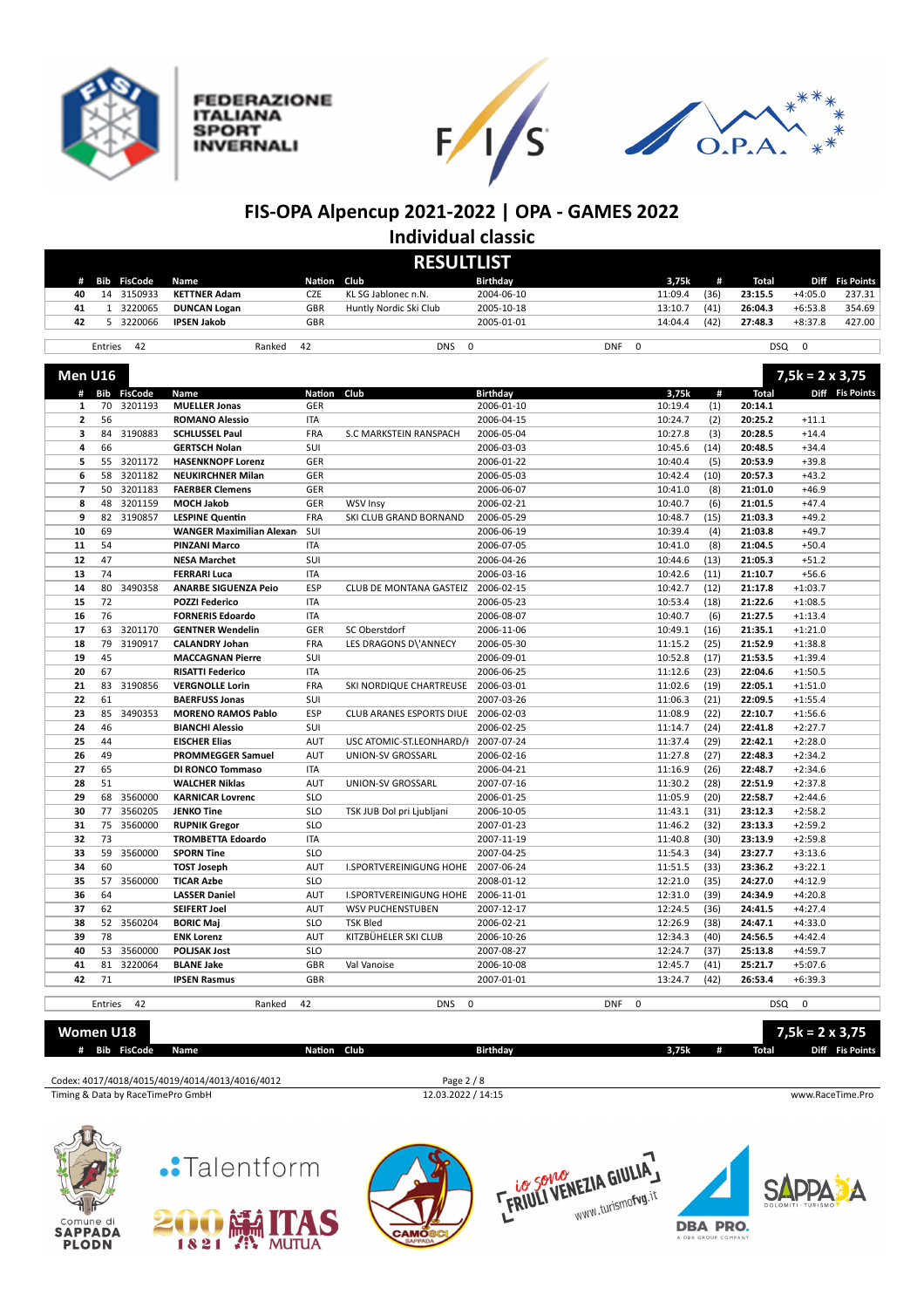

**FEDERAZIONE ITALIANA SPORT INVERNALI** 





## **FIS-OPA Alpencup 2021-2022 | OPA - GAMES 2022 Individual classic**

|                          | <b>RESULTLIST</b>                                                           |                    |                                                |               |                                |                 |            |             |      |              |                        |                 |
|--------------------------|-----------------------------------------------------------------------------|--------------------|------------------------------------------------|---------------|--------------------------------|-----------------|------------|-------------|------|--------------|------------------------|-----------------|
| #                        |                                                                             | <b>Bib FisCode</b> | Name                                           | <b>Nation</b> | Club                           | <b>Birthday</b> |            | 3,75k       | #    | Total        |                        | Diff Fis Points |
| 40                       |                                                                             | 14 3150933         | <b>KETTNER Adam</b>                            | CZE           | KL SG Jablonec n.N.            | 2004-06-10      |            | 11:09.4     | (36) | 23:15.5      | $+4:05.0$              | 237.31          |
| 41                       | $\mathbf{1}$                                                                | 3220065            | <b>DUNCAN Logan</b>                            | GBR           | Huntly Nordic Ski Club         | 2005-10-18      |            | 13:10.7     | (41) | 26:04.3      | $+6:53.8$              | 354.69          |
| 42                       | 5                                                                           | 3220066            | <b>IPSEN Jakob</b>                             | GBR           |                                | 2005-01-01      |            | 14:04.4     | (42) | 27:48.3      | $+8:37.8$              | 427.00          |
|                          |                                                                             |                    |                                                |               |                                |                 |            |             |      |              |                        |                 |
|                          | Entries                                                                     | 42                 | Ranked                                         | 42            | <b>DNS</b><br>0                |                 | <b>DNF</b> | $\mathbf 0$ |      | <b>DSQ</b>   | $\mathbf 0$            |                 |
| Men U16                  |                                                                             |                    |                                                |               |                                |                 |            |             |      |              | $7,5k = 2 \times 3,75$ |                 |
|                          |                                                                             | # Bib FisCode      | Name                                           | <b>Nation</b> | Club                           | <b>Birthday</b> |            | 3,75k       | #    | <b>Total</b> |                        | Diff Fis Points |
| 1                        | 70                                                                          | 3201193            | <b>MUELLER Jonas</b>                           | GER           |                                | 2006-01-10      |            | 10:19.4     | (1)  | 20:14.1      |                        |                 |
| $\overline{2}$           | 56                                                                          |                    | <b>ROMANO Alessio</b>                          | <b>ITA</b>    |                                | 2006-04-15      |            | 10:24.7     | (2)  | 20:25.2      | $+11.1$                |                 |
| 3                        | 84                                                                          | 3190883            | <b>SCHLUSSEL Paul</b>                          | FRA           | S.C MARKSTEIN RANSPACH         | 2006-05-04      |            | 10:27.8     | (3)  | 20:28.5      | $+14.4$                |                 |
| 4                        | 66                                                                          |                    | <b>GERTSCH Nolan</b>                           | SUI           |                                | 2006-03-03      |            | 10:45.6     | (14) | 20:48.5      | $+34.4$                |                 |
| 5                        | 55                                                                          | 3201172            | <b>HASENKNOPF Lorenz</b>                       | GER           |                                | 2006-01-22      |            | 10:40.4     | (5)  | 20:53.9      | $+39.8$                |                 |
| 6                        | 58                                                                          | 3201182            | <b>NEUKIRCHNER Milan</b>                       | GER           |                                | 2006-05-03      |            | 10:42.4     | (10) | 20:57.3      | $+43.2$                |                 |
| $\overline{\phantom{a}}$ | 50                                                                          | 3201183            | <b>FAERBER Clemens</b>                         | GER           |                                | 2006-06-07      |            | 10:41.0     | (8)  | 21:01.0      | $+46.9$                |                 |
| 8                        | 48                                                                          | 3201159            | <b>MOCH Jakob</b>                              | GER           | <b>WSV Insy</b>                | 2006-02-21      |            | 10:40.7     | (6)  | 21:01.5      | $+47.4$                |                 |
| 9                        | 82                                                                          | 3190857            | <b>LESPINE Quentin</b>                         | FRA           | SKI CLUB GRAND BORNAND         | 2006-05-29      |            | 10:48.7     | (15) | 21:03.3      | $+49.2$                |                 |
| 10                       | 69                                                                          |                    | <b>WANGER Maximilian Alexan</b>                | SUI           |                                | 2006-06-19      |            | 10:39.4     | (4)  | 21:03.8      | $+49.7$                |                 |
| 11                       | 54                                                                          |                    | <b>PINZANI Marco</b>                           | ITA           |                                | 2006-07-05      |            | 10:41.0     | (8)  | 21:04.5      | $+50.4$                |                 |
| 12                       | 47                                                                          |                    | <b>NESA Marchet</b>                            | SUI           |                                | 2006-04-26      |            | 10:44.6     | (13) | 21:05.3      | $+51.2$                |                 |
| 13                       | 74                                                                          |                    | <b>FERRARI Luca</b>                            | ITA           |                                | 2006-03-16      |            | 10:42.6     | (11) | 21:10.7      | $+56.6$                |                 |
| 14                       | 80                                                                          | 3490358            | <b>ANARBE SIGUENZA Peio</b>                    | <b>ESP</b>    | <b>CLUB DE MONTANA GASTEIZ</b> | 2006-02-15      |            | 10:42.7     | (12) | 21:17.8      | $+1:03.7$              |                 |
| 15                       | 72                                                                          |                    | <b>POZZI Federico</b>                          | <b>ITA</b>    |                                | 2006-05-23      |            | 10:53.4     | (18) | 21:22.6      | $+1:08.5$              |                 |
| 16                       | 76                                                                          |                    | <b>FORNERIS Edoardo</b>                        | ITA           |                                | 2006-08-07      |            | 10:40.7     | (6)  | 21:27.5      | $+1:13.4$              |                 |
| 17                       | 63                                                                          | 3201170            | <b>GENTNER Wendelin</b>                        | GER           | SC Oberstdorf                  | 2006-11-06      |            | 10:49.1     | (16) | 21:35.1      | $+1:21.0$              |                 |
| 18                       | 79                                                                          | 3190917            | <b>CALANDRY Johan</b>                          | FRA           | LES DRAGONS D\'ANNECY          | 2006-05-30      |            | 11:15.2     | (25) | 21:52.9      | $+1:38.8$              |                 |
| 19                       | 45                                                                          |                    | <b>MACCAGNAN Pierre</b>                        | SUI           |                                | 2006-09-01      |            | 10:52.8     | (17) | 21:53.5      | $+1:39.4$              |                 |
| 20                       | 67                                                                          |                    | <b>RISATTI Federico</b>                        | ITA           |                                | 2006-06-25      |            | 11:12.6     | (23) | 22:04.6      | $+1:50.5$              |                 |
| 21                       | 83                                                                          | 3190856            | <b>VERGNOLLE Lorin</b>                         | <b>FRA</b>    | SKI NORDIQUE CHARTREUSE        | 2006-03-01      |            | 11:02.6     | (19) | 22:05.1      | $+1:51.0$              |                 |
| 22                       | 61                                                                          |                    | <b>BAERFUSS Jonas</b>                          | SUI           |                                | 2007-03-26      |            | 11:06.3     | (21) | 22:09.5      | $+1:55.4$              |                 |
| 23                       | 85                                                                          | 3490353            | <b>MORENO RAMOS Pablo</b>                      | <b>ESP</b>    | CLUB ARANES ESPORTS DIUE       | 2006-02-03      |            | 11:08.9     | (22) | 22:10.7      | $+1:56.6$              |                 |
| 24                       | 46                                                                          |                    | <b>BIANCHI Alessio</b>                         | SUI           |                                | 2006-02-25      |            | 11:14.7     | (24) | 22:41.8      | $+2:27.7$              |                 |
| 25                       | 44                                                                          |                    | <b>EISCHER Elias</b>                           | <b>AUT</b>    | USC ATOMIC-ST.LEONHARD/I       | 2007-07-24      |            | 11:37.4     | (29) | 22:42.1      | $+2:28.0$              |                 |
| 26                       | 49                                                                          |                    | <b>PROMMEGGER Samuel</b>                       | <b>AUT</b>    | UNION-SV GROSSARL              | 2006-02-16      |            | 11:27.8     | (27) | 22:48.3      | $+2:34.2$              |                 |
| 27                       | 65                                                                          |                    | DI RONCO Tommaso                               | ITA           |                                | 2006-04-21      |            | 11:16.9     | (26) | 22:48.7      | $+2:34.6$              |                 |
| 28                       | 51                                                                          |                    | <b>WALCHER Niklas</b>                          | <b>AUT</b>    | UNION-SV GROSSARL              | 2007-07-16      |            | 11:30.2     | (28) | 22:51.9      | $+2:37.8$              |                 |
| 29                       | 68                                                                          | 3560000            | <b>KARNICAR Lovrenc</b>                        | <b>SLO</b>    |                                | 2006-01-25      |            | 11:05.9     | (20) | 22:58.7      | $+2:44.6$              |                 |
| 30                       | 77                                                                          | 3560205            | <b>JENKO Tine</b>                              | <b>SLO</b>    | TSK JUB Dol pri Ljubljani      | 2006-10-05      |            | 11:43.1     | (31) | 23:12.3      | $+2:58.2$              |                 |
| 31                       | 75                                                                          | 3560000            | <b>RUPNIK Gregor</b>                           | <b>SLO</b>    |                                | 2007-01-23      |            | 11:46.2     | (32) | 23:13.3      | $+2:59.2$              |                 |
| 32                       | 73                                                                          |                    | <b>TROMBETTA Edoardo</b>                       | ITA           |                                | 2007-11-19      |            | 11:40.8     | (30) | 23:13.9      | $+2:59.8$              |                 |
| 33                       | 59                                                                          | 3560000            | <b>SPORN Tine</b>                              | <b>SLO</b>    |                                | 2007-04-25      |            | 11:54.3     | (34) | 23:27.7      | $+3:13.6$              |                 |
| 34                       | 60                                                                          |                    | <b>TOST Joseph</b>                             | <b>AUT</b>    | <b>I.SPORTVEREINIGUNG HOHE</b> | 2007-06-24      |            | 11:51.5     | (33) | 23:36.2      | $+3:22.1$              |                 |
| 35                       | 57                                                                          | 3560000            | <b>TICAR Azbe</b>                              | <b>SLO</b>    |                                | 2008-01-12      |            | 12:21.0     | (35) | 24:27.0      | $+4:12.9$              |                 |
| 36                       | 64                                                                          |                    | <b>LASSER Daniel</b>                           | <b>AUT</b>    | <b>I.SPORTVEREINIGUNG HOHE</b> | 2006-11-01      |            | 12:31.0     | (39) | 24:34.9      | $+4:20.8$              |                 |
| 37                       | 62                                                                          |                    | <b>SEIFERT Joel</b>                            | AUT           | <b>WSV PUCHENSTUBEN</b>        | 2007-12-17      |            | 12:24.5     | (36) | 24:41.5      | $+4:27.4$              |                 |
| 38                       | 52                                                                          | 3560204            | <b>BORIC Maj</b>                               | <b>SLO</b>    | <b>TSK Bled</b>                | 2006-02-21      |            | 12:26.9     | (38) | 24:47.1      | $+4:33.0$              |                 |
| 39                       | 78                                                                          |                    | <b>ENK Lorenz</b>                              | AUT           | KITZBÜHELER SKI CLUB           | 2006-10-26      |            | 12:34.3     | (40) | 24:56.5      | $+4:42.4$              |                 |
| 40                       |                                                                             | 53 3560000         | <b>POLJSAK Jost</b>                            | SLO           |                                | 2007-08-27      |            | 12:24.7     | (37) | 25:13.8      | $+4:59.7$              |                 |
| 41                       |                                                                             | 81 3220064         | <b>BLANE Jake</b>                              | GBR           | Val Vanoise                    | 2006-10-08      |            | 12:45.7     | (41) | 25:21.7      | $+5:07.6$              |                 |
| 42                       | 71                                                                          |                    | <b>IPSEN Rasmus</b>                            | GBR           |                                | 2007-01-01      |            | 13:24.7     | (42) | 26:53.4      | $+6:39.3$              |                 |
|                          |                                                                             |                    |                                                |               |                                |                 |            |             |      |              |                        |                 |
|                          | Entries                                                                     | 42                 | Ranked                                         | 42            | <b>DNS</b><br>0                |                 | <b>DNF</b> | $\mathbf 0$ |      |              | DSQ 0                  |                 |
| Women U18                |                                                                             | # Bib FisCode      | Name                                           | Nation Club   |                                | <b>Birthday</b> |            | 3,75k       | #    | <b>Total</b> | $7,5k = 2 \times 3,75$ | Diff Fis Points |
|                          |                                                                             |                    |                                                |               |                                |                 |            |             |      |              |                        |                 |
|                          |                                                                             |                    | Codex: 4017/4018/4015/4019/4014/4013/4016/4012 |               | Page 2 / 8                     |                 |            |             |      |              |                        |                 |
|                          | 12.03.2022 / 14:15<br>Timing & Data by RaceTimePro GmbH<br>www.RaceTime.Pro |                    |                                                |               |                                |                 |            |             |      |              |                        |                 |













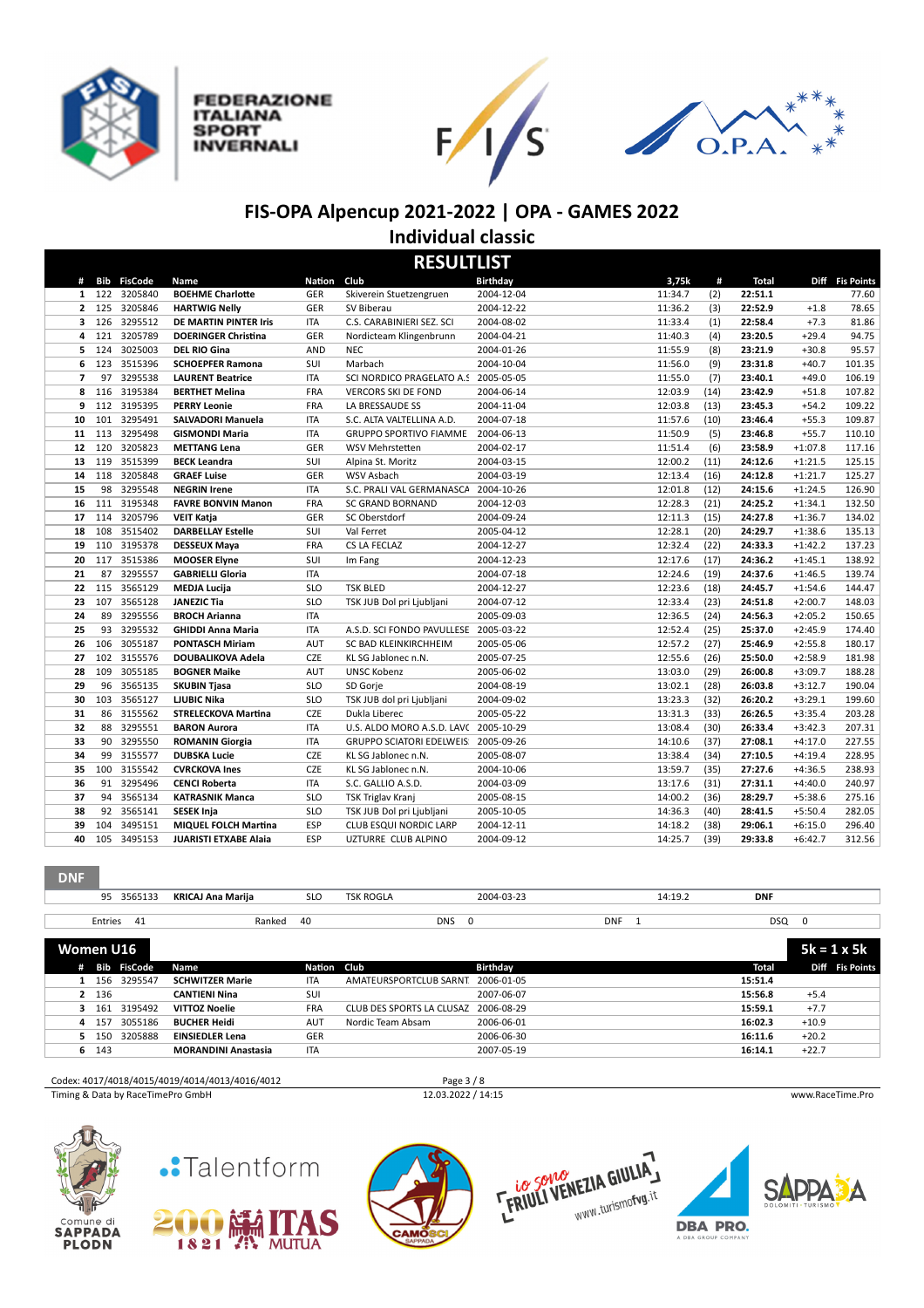

**FEDERAZIONE** 

**ITALIANA SPORT** 

**INVERNALI** 





#### **FIS-OPA Alpencup 2021-2022 | OPA - GAMES 2022 Individual classic**

**RESULTLIST # Bib FisCode Name Na:on Club Birthday 3,75k # Total Diff Fis Points** 122 3205840 **BOEHME CharloDe** GER Skiverein Stuetzengruen 2004-12-04 11:34.7 (2) **22:51.1** 77.60 125 3205846 **HARTWIG Nelly** GER SV Biberau 2004-12-22 11:36.2 (3) **22:52.9** +1.8 78.65 126 3295512 **DE MARTIN PINTER Iris** ITA C.S. CARABINIERI SEZ. SCI 2004-08-02 11:33.4 (1) **22:58.4** +7.3 81.86 121 3205789 **DOERINGER Chris:na** GER Nordicteam Klingenbrunn 2004-04-21 11:40.3 (4) **23:20.5** +29.4 94.75 124 3025003 **DEL RIO Gina** AND NEC 2004-01-26 11:55.9 (8) **23:21.9** +30.8 95.57 123 3515396 **SCHOEPFER Ramona** SUI Marbach 2004-10-04 11:56.0 (9) **23:31.8** +40.7 101.35 97 3295538 **LAURENT Beatrice** ITA SCI NORDICO PRAGELATO A.S.D.2005-05-05 11:55.0 (7) **23:40.1** +49.0 106.19 116 3195384 **BERTHET Melina** FRA VERCORS SKI DE FOND 2004-06-14 12:03.9 (14) **23:42.9** +51.8 107.82 112 3195395 **PERRY Leonie** FRA LA BRESSAUDE SS 2004-11-04 12:03.8 (13) **23:45.3** +54.2 109.22 101 3295491 **SALVADORI Manuela** ITA S.C. ALTA VALTELLINA A.D. 2004-07-18 11:57.6 (10) **23:46.4** +55.3 109.87 113 3295498 **GISMONDI Maria** ITA GRUPPO SPORTIVO FIAMME ORO2004-06-13 11:50.9 (5) **23:46.8** +55.7 110.10 120 3205823 **METTANG Lena** GER WSV MehrsteEen 2004-02-17 11:51.4 (6) **23:58.9** +1:07.8 117.16 119 3515399 **BECK Leandra** SUI Alpina St. Moritz 2004-03-15 12:00.2 (11) **24:12.6** +1:21.5 125.15 118 3205848 **GRAEF Luise** GER WSV Asbach 2004-03-19 12:13.4 (16) **24:12.8** +1:21.7 125.27 98 3295548 **NEGRIN Irene** ITA S.C. PRALI VAL GERMANASCA A.S.D. 2004-10-26 12:01.8 (12) **24:15.6** +1:24.5 126.90 111 3195348 **FAVRE BONVIN Manon** FRA SC GRAND BORNAND 2004-12-03 12:28.3 (21) **24:25.2** +1:34.1 132.50 114 3205796 **VEIT Katja** GER SC Oberstdorf 2004-09-24 12:11.3 (15) **24:27.8** +1:36.7 134.02 108 3515402 **DARBELLAY Estelle** SUI Val Ferret 2005-04-12 12:28.1 (20) **24:29.7** +1:38.6 135.13 110 3195378 **DESSEUX Maya** FRA CS LA FECLAZ 2004-12-27 12:32.4 (22) **24:33.3** +1:42.2 137.23 117 3515386 **MOOSER Elyne** SUI Im Fang 2004-12-23 12:17.6 (17) **24:36.2** +1:45.1 138.92 87 3295557 **GABRIELLI Gloria** ITA 2004-07-18 12:24.6 (19) **24:37.6** +1:46.5 139.74 115 3565129 **MEDJA Lucija** SLO TSK BLED 2004-12-27 12:23.6 (18) **24:45.7** +1:54.6 144.47 107 3565128 **JANEZIC Tia** SLO TSK JUB Dol pri Ljubljani 2004-07-12 12:33.4 (23) **24:51.8** +2:00.7 148.03 89 3295556 **BROCH Arianna** ITA 2005-09-03 12:36.5 (24) **24:56.3** +2:05.2 150.65 93 3295532 **GHIDDI Anna Maria** ITA A.S.D. SCI FONDO PAVULLESE 2005-03-22 12:52.4 (25) **25:37.0** +2:45.9 174.40 106 3055187 **PONTASCH Miriam** AUT SC BAD KLEINKIRCHHEIM 2005-05-06 12:57.2 (27) **25:46.9** +2:55.8 180.17 102 3155576 **DOUBALIKOVA Adela** CZE KL SG Jablonec n.N. 2005-07-25 12:55.6 (26) **25:50.0** +2:58.9 181.98 109 3055185 **BOGNER Maike** AUT UNSC Kobenz 2005-06-02 13:03.0 (29) **26:00.8** +3:09.7 188.28 96 3565135 **SKUBIN Tjasa** SLO SD Gorje 2004-08-19 13:02.1 (28) **26:03.8** +3:12.7 190.04 103 3565127 **LJUBIC Nika** SLO TSK JUB dol pri Ljubljani 2004-09-02 13:23.3 (32) **26:20.2** +3:29.1 199.60 86 3155562 **STRELECKOVA Mar:na** CZE Dukla Liberec 2005-05-22 13:31.3 (33) **26:26.5** +3:35.4 203.28 88 3295551 **BARON Aurora** ITA U.S. ALDO MORO A.S.D. LAVC 2005-10-29 13:08.4 (30) **26:33.4** +3:42.3 207.31 90 3295550 **ROMANIN Giorgia** ITA GRUPPO SCIATORI EDELWEIS 2005-09-26 14:10.6 (37) **27:08.1** +4:17.0 227.55 99 3155577 **DUBSKA Lucie** CZE KL SG Jablonec n.N. 2005-08-07 13:38.4 (34) **27:10.5** +4:19.4 228.95 100 3155542 **CVRCKOVA Ines** CZE KL SG Jablonec n.N. 2004-10-06 13:59.7 (35) **27:27.6** +4:36.5 238.93 91 3295496 **CENCI Roberta** ITA S.C. GALLIO A.S.D. 2004-03-09 13:17.6 (31) **27:31.1** +4:40.0 240.97 94 3565134 **KATRASNIK Manca** SLO TSK Triglav Kranj 2005-08-15 14:00.2 (36) **28:29.7** +5:38.6 275.16 92 3565141 **SESEK Inja** SLO TSK JUB Dol pri Ljubljani 2005-10-05 14:36.3 (40) **28:41.5** +5:50.4 282.05 104 3495151 **MIQUEL FOLCH Mar:na** ESP CLUB ESQUI NORDIC LARP 2004-12-11 14:18.2 (38) **29:06.1** +6:15.0 296.40 105 3495153 **JUARISTI ETXABE Alaia** ESP UZTURRE CLUB ALPINO 2004-09-12 14:25.7 (39) **29:33.8** +6:42.7 312.56

**DNF**

|    | 95        | 3565133            | <b>KRICAJ Ana Marija</b>   | <b>SLO</b>  | <b>TSK ROGLA</b>          | 2004-03-23              |            | 14:19.2 | <b>DNF</b> |         |                    |
|----|-----------|--------------------|----------------------------|-------------|---------------------------|-------------------------|------------|---------|------------|---------|--------------------|
|    |           |                    |                            |             |                           |                         |            |         |            |         |                    |
|    | Entries   | - 41               | Ranked                     | 40          | DNS                       | $\overline{\mathbf{0}}$ | <b>DNF</b> |         | DSQ 0      |         |                    |
|    |           |                    |                            |             |                           |                         |            |         |            |         |                    |
|    | Women U16 |                    |                            |             |                           |                         |            |         |            |         | $5k = 1 \times 5k$ |
| #  |           | <b>Bib FisCode</b> | Name                       | Nation Club |                           | Birthday                |            |         | Total      |         | Diff Fis Points    |
|    |           | 1 156 3295547      | <b>SCHWITZER Marie</b>     | <b>ITA</b>  | AMATEURSPORTCLUB SARNT    | 2006-01-05              |            |         | 15:51.4    |         |                    |
|    | 2 136     |                    | <b>CANTIENI Nina</b>       | SUI         |                           | 2007-06-07              |            |         | 15:56.8    | $+5.4$  |                    |
|    |           | 3 161 3195492      | <b>VITTOZ Noelie</b>       | <b>FRA</b>  | CLUB DES SPORTS LA CLUSAZ | 2006-08-29              |            |         | 15:59.1    | $+7.7$  |                    |
|    | 4 157     | 3055186            | <b>BUCHER Heidi</b>        | <b>AUT</b>  | Nordic Team Absam         | 2006-06-01              |            |         | 16:02.3    | $+10.9$ |                    |
| 5. | 150       | 3205888            | <b>EINSIEDLER Lena</b>     | <b>GER</b>  |                           | 2006-06-30              |            |         | 16:11.6    | $+20.2$ |                    |
|    | 6 143     |                    | <b>MORANDINI Anastasia</b> | <b>ITA</b>  |                           | 2007-05-19              |            |         | 16:14.1    | $+22.7$ |                    |
|    |           |                    |                            |             |                           |                         |            |         |            |         |                    |

#### Codex: 4017/4018/4015/4019/4014/4013/4016/4012 Page 3 / 8 Timing & Data by RaceTimePro GmbH 12.03.2022 / 14:15 www.RaceTime.Pro











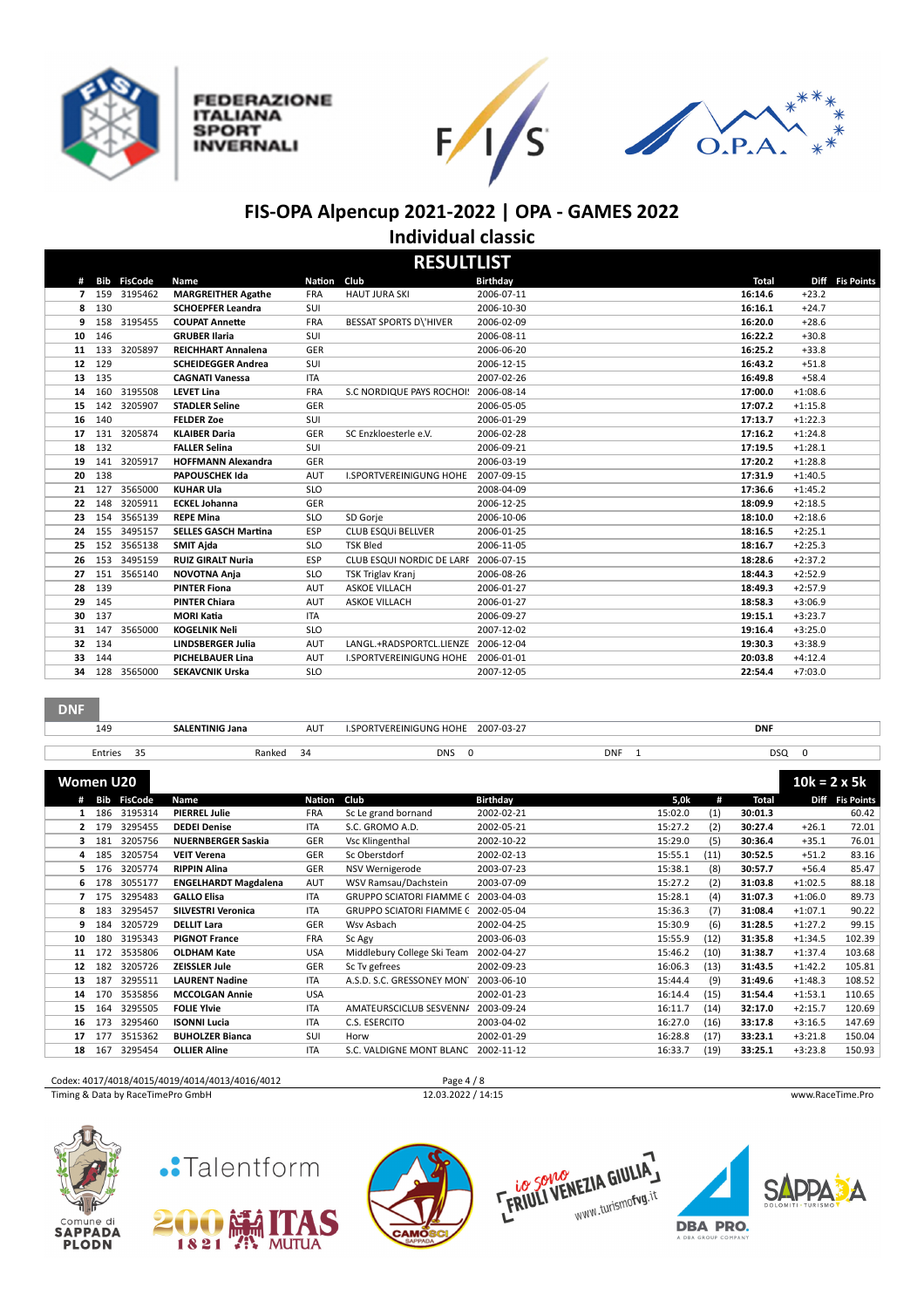

**FEDERAZIONE ITALIANA** 

**SPORT** 

**INVERNALI** 





## **FIS-OPA Alpencup 2021-2022 | OPA - GAMES 2022 Individual classic**

|    |        |                    |                             |               | <b>RESULTLIST</b>                    |                 |              |           |                 |
|----|--------|--------------------|-----------------------------|---------------|--------------------------------------|-----------------|--------------|-----------|-----------------|
| #  |        | <b>Bib FisCode</b> | Name                        | <b>Nation</b> | Club                                 | <b>Birthday</b> | <b>Total</b> |           | Diff Fis Points |
|    |        | 7 159 3195462      | <b>MARGREITHER Agathe</b>   | <b>FRA</b>    | <b>HAUT JURA SKI</b>                 | 2006-07-11      | 16:14.6      | $+23.2$   |                 |
|    | 8 130  |                    | <b>SCHOEPFER Leandra</b>    | SUI           |                                      | 2006-10-30      | 16:16.1      | $+24.7$   |                 |
| 9  |        | 158 3195455        | <b>COUPAT Annette</b>       | <b>FRA</b>    | <b>BESSAT SPORTS D\'HIVER</b>        | 2006-02-09      | 16:20.0      | $+28.6$   |                 |
|    | 10 146 |                    | <b>GRUBER Ilaria</b>        | SUI           |                                      | 2006-08-11      | 16:22.2      | $+30.8$   |                 |
| 11 | 133    | 3205897            | <b>REICHHART Annalena</b>   | GER           |                                      | 2006-06-20      | 16:25.2      | $+33.8$   |                 |
| 12 | 129    |                    | <b>SCHEIDEGGER Andrea</b>   | SUI           |                                      | 2006-12-15      | 16:43.2      | $+51.8$   |                 |
| 13 | 135    |                    | <b>CAGNATI Vanessa</b>      | <b>ITA</b>    |                                      | 2007-02-26      | 16:49.8      | $+58.4$   |                 |
| 14 |        | 160 3195508        | <b>LEVET Lina</b>           | <b>FRA</b>    | S.C NORDIQUE PAYS ROCHOI: 2006-08-14 |                 | 17:00.0      | $+1:08.6$ |                 |
| 15 |        | 142 3205907        | <b>STADLER Seline</b>       | <b>GER</b>    |                                      | 2006-05-05      | 17:07.2      | $+1:15.8$ |                 |
| 16 | 140    |                    | <b>FELDER Zoe</b>           | SUI           |                                      | 2006-01-29      | 17:13.7      | $+1:22.3$ |                 |
| 17 |        | 131 3205874        | <b>KLAIBER Daria</b>        | GER           | SC Enzkloesterle e.V.                | 2006-02-28      | 17:16.2      | $+1:24.8$ |                 |
| 18 | 132    |                    | <b>FALLER Selina</b>        | SUI           |                                      | 2006-09-21      | 17:19.5      | $+1:28.1$ |                 |
| 19 | 141    | 3205917            | <b>HOFFMANN Alexandra</b>   | GER           |                                      | 2006-03-19      | 17:20.2      | $+1:28.8$ |                 |
| 20 | 138    |                    | <b>PAPOUSCHEK Ida</b>       | <b>AUT</b>    | <b>I.SPORTVEREINIGUNG HOHE</b>       | 2007-09-15      | 17:31.9      | $+1:40.5$ |                 |
| 21 | 127    | 3565000            | <b>KUHAR Ula</b>            | <b>SLO</b>    |                                      | 2008-04-09      | 17:36.6      | $+1:45.2$ |                 |
| 22 | 148    | 3205911            | <b>ECKEL Johanna</b>        | <b>GER</b>    |                                      | 2006-12-25      | 18:09.9      | $+2:18.5$ |                 |
| 23 | 154    | 3565139            | <b>REPE Mina</b>            | <b>SLO</b>    | SD Gorje                             | 2006-10-06      | 18:10.0      | $+2:18.6$ |                 |
| 24 | 155    | 3495157            | <b>SELLES GASCH Martina</b> | <b>ESP</b>    | <b>CLUB ESQUI BELLVER</b>            | 2006-01-25      | 18:16.5      | $+2:25.1$ |                 |
| 25 |        | 152 3565138        | <b>SMIT Ajda</b>            | <b>SLO</b>    | <b>TSK Bled</b>                      | 2006-11-05      | 18:16.7      | $+2:25.3$ |                 |
| 26 | 153    | 3495159            | <b>RUIZ GIRALT Nuria</b>    | <b>ESP</b>    | CLUB ESQUI NORDIC DE LARF 2006-07-15 |                 | 18:28.6      | $+2:37.2$ |                 |
| 27 |        | 151 3565140        | <b>NOVOTNA Anja</b>         | <b>SLO</b>    | TSK Triglav Kranj                    | 2006-08-26      | 18:44.3      | $+2:52.9$ |                 |
| 28 | 139    |                    | <b>PINTER Fiona</b>         | <b>AUT</b>    | <b>ASKOE VILLACH</b>                 | 2006-01-27      | 18:49.3      | $+2:57.9$ |                 |
| 29 | 145    |                    | <b>PINTER Chiara</b>        | <b>AUT</b>    | <b>ASKOE VILLACH</b>                 | 2006-01-27      | 18:58.3      | $+3:06.9$ |                 |
| 30 | 137    |                    | <b>MORI Katia</b>           | <b>ITA</b>    |                                      | 2006-09-27      | 19:15.1      | $+3:23.7$ |                 |
| 31 | 147    | 3565000            | <b>KOGELNIK Neli</b>        | <b>SLO</b>    |                                      | 2007-12-02      | 19:16.4      | $+3:25.0$ |                 |
|    | 32 134 |                    | <b>LINDSBERGER Julia</b>    | <b>AUT</b>    | LANGL.+RADSPORTCL.LIENZE 2006-12-04  |                 | 19:30.3      | $+3:38.9$ |                 |
| 33 | 144    |                    | <b>PICHELBAUER Lina</b>     | <b>AUT</b>    | <b>I.SPORTVEREINIGUNG HOHE</b>       | 2006-01-01      | 20:03.8      | $+4:12.4$ |                 |
| 34 | 128    | 3565000            | <b>SEKAVCNIK Urska</b>      | <b>SLO</b>    |                                      | 2007-12-05      | 22:54.4      | $+7:03.0$ |                 |
|    |        |                    |                             |               |                                      |                 |              |           |                 |

| 149 |                                                                             | <b>SALENTINIG Jana</b>                                                                                                                                     | AUT           | <b>I.SPORTVEREINIGUNG HOHE</b> | 2007-03-27      |                                                                                |            |      | <b>DNF</b> |           |                     |
|-----|-----------------------------------------------------------------------------|------------------------------------------------------------------------------------------------------------------------------------------------------------|---------------|--------------------------------|-----------------|--------------------------------------------------------------------------------|------------|------|------------|-----------|---------------------|
|     |                                                                             |                                                                                                                                                            |               |                                |                 |                                                                                |            |      |            |           |                     |
|     |                                                                             |                                                                                                                                                            |               |                                |                 |                                                                                |            |      |            |           |                     |
|     |                                                                             |                                                                                                                                                            |               |                                |                 |                                                                                |            |      |            |           | $10k = 2 \times 5k$ |
| Bib |                                                                             | Name                                                                                                                                                       | <b>Nation</b> | Club                           | <b>Birthday</b> |                                                                                | 5,0k       | #    | Total      | Diff      | <b>Fis Points</b>   |
| 186 |                                                                             | <b>PIERREL Julie</b>                                                                                                                                       | <b>FRA</b>    | Sc Le grand bornand            | 2002-02-21      |                                                                                | 15:02.0    | (1)  | 30:01.3    |           | 60.42               |
| 179 |                                                                             | <b>DEDEI Denise</b>                                                                                                                                        | <b>ITA</b>    | S.C. GROMO A.D.                | 2002-05-21      |                                                                                | 15:27.2    | (2)  | 30:27.4    | $+26.1$   | 72.01               |
| 181 |                                                                             | <b>NUERNBERGER Saskia</b>                                                                                                                                  | <b>GER</b>    | Vsc Klingenthal                | 2002-10-22      |                                                                                | 15:29.0    | (5)  | 30:36.4    | $+35.1$   | 76.01               |
| 185 |                                                                             | <b>VEIT Verena</b>                                                                                                                                         | <b>GER</b>    | Sc Oberstdorf                  | 2002-02-13      |                                                                                | 15:55.1    | (11) | 30:52.5    | $+51.2$   | 83.16               |
| 176 |                                                                             | <b>RIPPIN Alina</b>                                                                                                                                        | GER           | NSV Wernigerode                | 2003-07-23      |                                                                                | 15:38.1    | (8)  | 30:57.7    | $+56.4$   | 85.47               |
| 178 |                                                                             | <b>ENGELHARDT Magdalena</b>                                                                                                                                | <b>AUT</b>    | WSV Ramsau/Dachstein           | 2003-07-09      |                                                                                | 15:27.2    | (2)  | 31:03.8    | $+1:02.5$ | 88.18               |
| 175 |                                                                             | <b>GALLO Elisa</b>                                                                                                                                         | <b>ITA</b>    |                                | 2003-04-03      |                                                                                | 15:28.1    | (4)  | 31:07.3    | $+1:06.0$ | 89.73               |
| 183 |                                                                             | <b>SILVESTRI Veronica</b>                                                                                                                                  | <b>ITA</b>    |                                | 2002-05-04      |                                                                                | 15:36.3    | (7)  | 31:08.4    | $+1:07.1$ | 90.22               |
| 184 |                                                                             | <b>DELLIT Lara</b>                                                                                                                                         | <b>GER</b>    | Wsv Asbach                     | 2002-04-25      |                                                                                | 15:30.9    | (6)  | 31:28.5    | $+1:27.2$ | 99.15               |
| 180 |                                                                             | <b>PIGNOT France</b>                                                                                                                                       | <b>FRA</b>    | Sc Agy                         | 2003-06-03      |                                                                                | 15:55.9    | (12) | 31:35.8    | $+1:34.5$ | 102.39              |
|     | <b>DNF</b><br>#<br>$\mathbf{2}$<br>3.<br>4<br>5.<br>6.<br>7<br>8<br>9<br>10 | 35<br>Entries<br>Women U20<br><b>FisCode</b><br>3195314<br>3295455<br>3205756<br>3205754<br>3205774<br>3055177<br>3295483<br>3295457<br>3205729<br>3195343 | Ranked        | 34                             | <b>DNS</b>      | $\Omega$<br><b>GRUPPO SCIATORI FIAMME C</b><br><b>GRUPPO SCIATORI FIAMME C</b> | <b>DNF</b> |      |            |           | DSQ 0               |

|    | $\cdots$ | .       | ,,,,,,,,,,,,,,,        | $\sqrt{2}$ | JU MEY                      | LUUJ UU UJ | 10.JU.J | 1441 | .       | .         | ⊥∪∠.JJ |
|----|----------|---------|------------------------|------------|-----------------------------|------------|---------|------|---------|-----------|--------|
| 11 | 172      | 3535806 | <b>OLDHAM Kate</b>     | <b>USA</b> | Middlebury College Ski Team | 2002-04-27 | 15:46.2 | (10) | 31:38.7 | $+1:37.4$ | 103.68 |
| 12 | 182      | 3205726 | <b>ZEISSLER Jule</b>   | <b>GER</b> | Sc Tv gefrees               | 2002-09-23 | 16:06.3 | (13) | 31:43.5 | $+1:42.2$ | 105.81 |
| 13 | 187      | 3295511 | <b>LAURENT Nadine</b>  | <b>ITA</b> | A.S.D. S.C. GRESSONEY MON   | 2003-06-10 | 15:44.4 | (9)  | 31:49.6 | $+1:48.3$ | 108.52 |
| 14 | 170      | 3535856 | <b>MCCOLGAN Annie</b>  | <b>USA</b> |                             | 2002-01-23 | 16:14.4 | (15) | 31:54.4 | $+1:53.1$ | 110.65 |
| 15 | 164      | 3295505 | <b>FOLIE Ylvie</b>     | <b>ITA</b> | AMATEURSCICLUB SESVENNA     | 2003-09-24 | 16:11.7 | (14) | 32:17.0 | $+2:15.7$ | 120.69 |
| 16 | 173      | 3295460 | <b>ISONNI Lucia</b>    | ITA        | C.S. ESERCITO               | 2003-04-02 | 16:27.0 | (16) | 33:17.8 | $+3:16.5$ | 147.69 |
|    | 177      | 3515362 | <b>BUHOLZER Bianca</b> | SUI        | Horw                        | 2002-01-29 | 16:28.8 | (17) | 33:23.1 | $+3:21.8$ | 150.04 |
| 18 | 167      | 3295454 | <b>OLLIER Aline</b>    | ITA        | S.C. VALDIGNE MONT BLANC    | 2002-11-12 | 16:33.7 | (19) | 33:25.1 | $+3:23.8$ | 150.93 |

| Codex: 4017/4018/4015/4019/4014/4013/4016/4012 | Page $4/8$         |                  |
|------------------------------------------------|--------------------|------------------|
| Timing & Data by RaceTimePro GmbH              | 12.03.2022 / 14:15 | www.RaceTime.Pro |
|                                                |                    |                  |













ĬΔ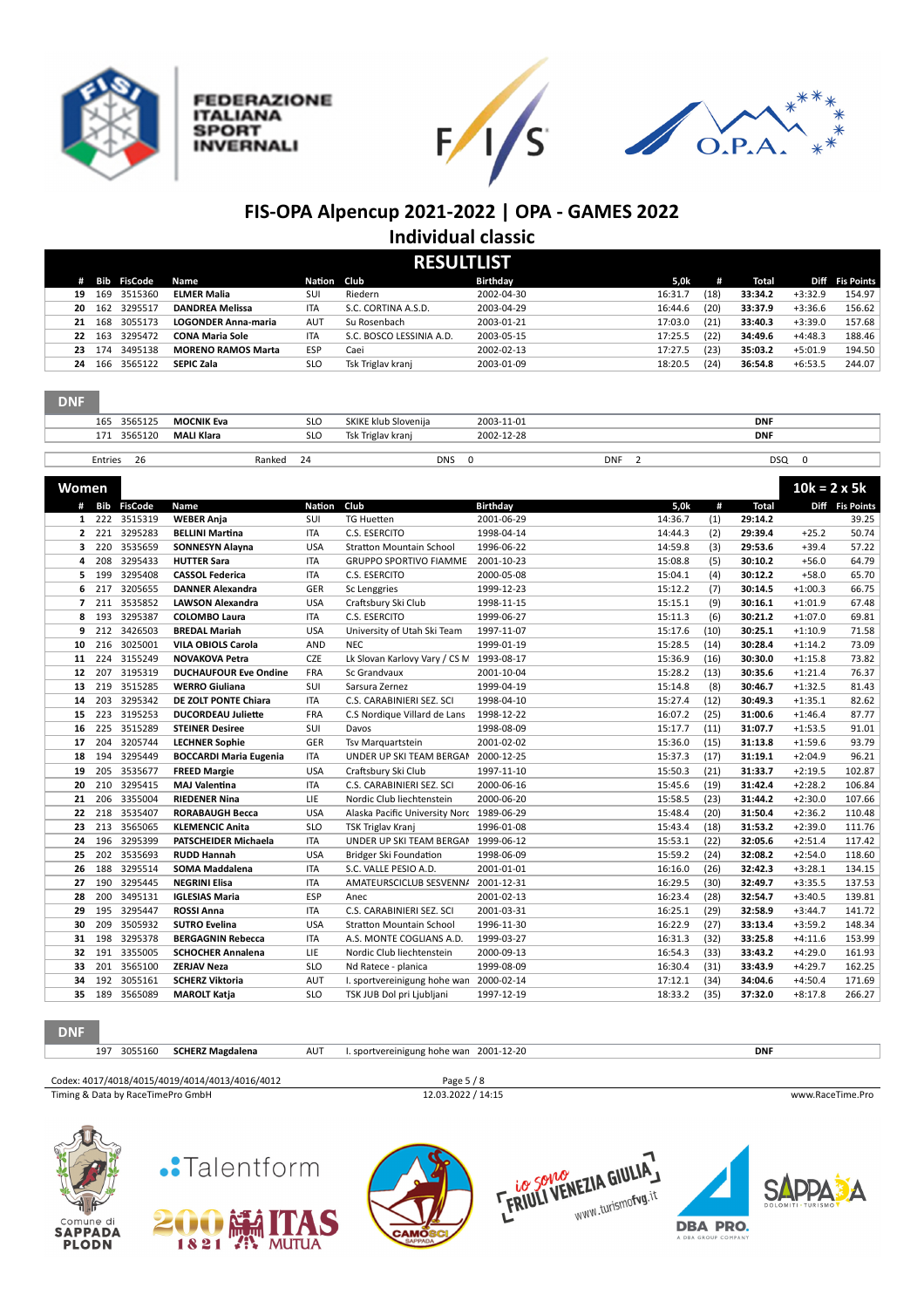

Comune di<br>**SAPPADA**<br>PLODN

1821 W. MUTUA

**FEDERAZIONE** 

**ITALIANA** 

**INVERNALI** 

**SPORT** 





**DBA PRO.** 

# **FIS-OPA Alpencup 2021-2022 | OPA - GAMES 2022 Individual classic**

| <b>RESULTLIST</b> |     |                    |                            |            |                          |                 |         |      |         |           |                   |
|-------------------|-----|--------------------|----------------------------|------------|--------------------------|-----------------|---------|------|---------|-----------|-------------------|
| #                 |     | <b>Bib FisCode</b> | Name                       | Nation     | Club                     | <b>Birthday</b> | 5,0k    | #    | Total   | Diff      | <b>Fis Points</b> |
| 19                | 169 | 3515360            | <b>ELMER Malia</b>         | <b>SUI</b> | Riedern                  | 2002-04-30      | 16:31.7 | (18) | 33:34.2 | $+3:32.9$ | 154.97            |
| 20                | 162 | 3295517            | <b>DANDREA Melissa</b>     | <b>ITA</b> | S.C. CORTINA A.S.D.      | 2003-04-29      | 16:44.6 | (20) | 33:37.9 | $+3:36.6$ | 156.62            |
| 21                | 168 | 3055173            | <b>LOGONDER Anna-maria</b> | <b>AUT</b> | Su Rosenbach             | 2003-01-21      | 17:03.0 | (21) | 33:40.3 | $+3:39.0$ | 157.68            |
| 22                | 163 | 3295472            | <b>CONA Maria Sole</b>     | <b>ITA</b> | S.C. BOSCO LESSINIA A.D. | 2003-05-15      | 17:25.5 | (22) | 34:49.6 | $+4:48.3$ | 188.46            |
| 23                | 174 | 3495138            | <b>MORENO RAMOS Marta</b>  | ESP        | Caei                     | 2002-02-13      | 17:27.5 | (23) | 35:03.2 | $+5:01.9$ | 194.50            |
| 24                | 166 | 3565122            | <b>SEPIC Zala</b>          | <b>SLO</b> | Tsk Triglav kranj        | 2003-01-09      | 18:20.5 | (24) | 36:54.8 | $+6:53.5$ | 244.07            |
|                   |     |                    |                            |            |                          |                 |         |      |         |           |                   |

| <b>DNF</b> |         |                   |            |                      |            |            |
|------------|---------|-------------------|------------|----------------------|------------|------------|
| 165        | 3565125 | <b>MOCNIK Eva</b> | <b>SLO</b> | SKIKE klub Slovenija | 2003-11-01 | <b>DNF</b> |
| 171        | 3565120 | <b>MALI Klara</b> | <b>SLO</b> | Tsk Triglav kranj    | 2002-12-28 | <b>DNF</b> |
|            |         |                   |            |                      |            |            |

| $\sim$<br>Entries<br>26 | "<br>,,, | <b>DNIC</b> | <b>DNF</b> | nsc<br>. |
|-------------------------|----------|-------------|------------|----------|
|                         |          |             |            |          |

| Women          |     |               |                               |            |                                           |                 |         |      |              | $10k = 2 \times 5k$ |                 |
|----------------|-----|---------------|-------------------------------|------------|-------------------------------------------|-----------------|---------|------|--------------|---------------------|-----------------|
|                |     | # Bib FisCode | Name                          | Nation     | Club                                      | <b>Birthday</b> | 5,0k    | #    | <b>Total</b> |                     | Diff Fis Points |
|                |     | 1 222 3515319 | <b>WEBER Anja</b>             | SUI        | <b>TG Huetten</b>                         | 2001-06-29      | 14:36.7 | (1)  | 29:14.2      |                     | 39.25           |
|                |     | 2 221 3295283 | <b>BELLINI Martina</b>        | ITA        | C.S. ESERCITO                             | 1998-04-14      | 14:44.3 | (2)  | 29:39.4      | $+25.2$             | 50.74           |
| з              | 220 | 3535659       | <b>SONNESYN Alayna</b>        | <b>USA</b> | <b>Stratton Mountain School</b>           | 1996-06-22      | 14:59.8 | (3)  | 29:53.6      | $+39.4$             | 57.22           |
| 4              | 208 | 3295433       | <b>HUTTER Sara</b>            | <b>ITA</b> | <b>GRUPPO SPORTIVO FIAMME</b>             | 2001-10-23      | 15:08.8 | (5)  | 30:10.2      | $+56.0$             | 64.79           |
| 5              | 199 | 3295408       | <b>CASSOL Federica</b>        | <b>ITA</b> | C.S. ESERCITO                             | 2000-05-08      | 15:04.1 | (4)  | 30:12.2      | $+58.0$             | 65.70           |
| 6              | 217 | 3205655       | <b>DANNER Alexandra</b>       | GER        | Sc Lenggries                              | 1999-12-23      | 15:12.2 | (7)  | 30:14.5      | $+1:00.3$           | 66.75           |
| $\overline{ }$ | 211 | 3535852       | <b>LAWSON Alexandra</b>       | <b>USA</b> | Craftsbury Ski Club                       | 1998-11-15      | 15:15.1 | (9)  | 30:16.1      | $+1:01.9$           | 67.48           |
| 8              | 193 | 3295387       | <b>COLOMBO Laura</b>          | <b>ITA</b> | C.S. ESERCITO                             | 1999-06-27      | 15:11.3 | (6)  | 30:21.2      | $+1:07.0$           | 69.81           |
| 9              | 212 | 3426503       | <b>BREDAL Mariah</b>          | <b>USA</b> | University of Utah Ski Team               | 1997-11-07      | 15:17.6 | (10) | 30:25.1      | $+1:10.9$           | 71.58           |
| 10             | 216 | 3025001       | <b>VILA OBIOLS Carola</b>     | AND        | <b>NEC</b>                                | 1999-01-19      | 15:28.5 | (14) | 30:28.4      | $+1:14.2$           | 73.09           |
| 11             | 224 | 3155249       | NOVAKOVA Petra                | CZE        | Lk Slovan Karlovy Vary / CS N 1993-08-17  |                 | 15:36.9 | (16) | 30:30.0      | $+1:15.8$           | 73.82           |
| 12             | 207 | 3195319       | <b>DUCHAUFOUR Eve Ondine</b>  | <b>FRA</b> | Sc Grandvaux                              | 2001-10-04      | 15:28.2 | (13) | 30:35.6      | $+1:21.4$           | 76.37           |
| 13             | 219 | 3515285       | <b>WERRO Giuliana</b>         | SUI        | Sarsura Zernez                            | 1999-04-19      | 15:14.8 | (8)  | 30:46.7      | $+1:32.5$           | 81.43           |
| 14             | 203 | 3295342       | DE ZOLT PONTE Chiara          | ITA        | C.S. CARABINIERI SEZ. SCI                 | 1998-04-10      | 15:27.4 | (12) | 30:49.3      | $+1:35.1$           | 82.62           |
| 15             | 223 | 3195253       | <b>DUCORDEAU Juliette</b>     | FRA        | C.S Nordique Villard de Lans              | 1998-12-22      | 16:07.2 | (25) | 31:00.6      | $+1:46.4$           | 87.77           |
| 16             | 225 | 3515289       | <b>STEINER Desiree</b>        | SUI        | Davos                                     | 1998-08-09      | 15:17.7 | (11) | 31:07.7      | $+1:53.5$           | 91.01           |
| 17             | 204 | 3205744       | <b>LECHNER Sophie</b>         | GER        | Tsv Marquartstein                         | 2001-02-02      | 15:36.0 | (15) | 31:13.8      | $+1:59.6$           | 93.79           |
| 18             | 194 | 3295449       | <b>BOCCARDI Maria Eugenia</b> | <b>ITA</b> | UNDER UP SKI TEAM BERGAN                  | 2000-12-25      | 15:37.3 | (17) | 31:19.1      | $+2:04.9$           | 96.21           |
| 19             | 205 | 3535677       | <b>FREED Margie</b>           | <b>USA</b> | Craftsbury Ski Club                       | 1997-11-10      | 15:50.3 | (21) | 31:33.7      | $+2:19.5$           | 102.87          |
| 20             | 210 | 3295415       | <b>MAJ Valentina</b>          | ITA        | C.S. CARABINIERI SEZ. SCI                 | 2000-06-16      | 15:45.6 | (19) | 31:42.4      | $+2:28.2$           | 106.84          |
| 21             | 206 | 3355004       | <b>RIEDENER Nina</b>          | LIE        | Nordic Club liechtenstein                 | 2000-06-20      | 15:58.5 | (23) | 31:44.2      | $+2:30.0$           | 107.66          |
| 22             | 218 | 3535407       | <b>RORABAUGH Becca</b>        | <b>USA</b> | Alaska Pacific University Norc 1989-06-29 |                 | 15:48.4 | (20) | 31:50.4      | $+2:36.2$           | 110.48          |
| 23             | 213 | 3565065       | <b>KLEMENCIC Anita</b>        | <b>SLO</b> | TSK Triglav Kranj                         | 1996-01-08      | 15:43.4 | (18) | 31:53.2      | $+2:39.0$           | 111.76          |
| 24             | 196 | 3295399       | PATSCHEIDER Michaela          | ITA        | UNDER UP SKI TEAM BERGAN                  | 1999-06-12      | 15:53.1 | (22) | 32:05.6      | $+2:51.4$           | 117.42          |
| 25             | 202 | 3535693       | <b>RUDD Hannah</b>            | <b>USA</b> | Bridger Ski Foundation                    | 1998-06-09      | 15:59.2 | (24) | 32:08.2      | $+2:54.0$           | 118.60          |
| 26             | 188 | 3295514       | SOMA Maddalena                | <b>ITA</b> | S.C. VALLE PESIO A.D.                     | 2001-01-01      | 16:16.0 | (26) | 32:42.3      | $+3:28.1$           | 134.15          |
| 27             | 190 | 3295445       | <b>NEGRINI Elisa</b>          | <b>ITA</b> | AMATEURSCICLUB SESVENN/                   | 2001-12-31      | 16:29.5 | (30) | 32:49.7      | $+3:35.5$           | 137.53          |
| 28             | 200 | 3495131       | <b>IGLESIAS Maria</b>         | ESP        | Anec                                      | 2001-02-13      | 16:23.4 | (28) | 32:54.7      | $+3:40.5$           | 139.81          |
| 29             | 195 | 3295447       | <b>ROSSI Anna</b>             | <b>ITA</b> | C.S. CARABINIERI SEZ. SCI                 | 2001-03-31      | 16:25.1 | (29) | 32:58.9      | $+3:44.7$           | 141.72          |
| 30             | 209 | 3505932       | <b>SUTRO Evelina</b>          | <b>USA</b> | Stratton Mountain School                  | 1996-11-30      | 16:22.9 | (27) | 33:13.4      | $+3:59.2$           | 148.34          |
| 31             | 198 | 3295378       | <b>BERGAGNIN Rebecca</b>      | <b>ITA</b> | A.S. MONTE COGLIANS A.D.                  | 1999-03-27      | 16:31.3 | (32) | 33:25.8      | $+4:11.6$           | 153.99          |
| 32             | 191 | 3355005       | <b>SCHOCHER Annalena</b>      | LIE        | Nordic Club liechtenstein                 | 2000-09-13      | 16:54.3 | (33) | 33:43.2      | $+4:29.0$           | 161.93          |
| 33             | 201 | 3565100       | <b>ZERJAV Neza</b>            | <b>SLO</b> | Nd Ratece - planica                       | 1999-08-09      | 16:30.4 | (31) | 33:43.9      | $+4:29.7$           | 162.25          |
| 34             | 192 | 3055161       | <b>SCHERZ Viktoria</b>        | <b>AUT</b> | I. sportvereinigung hohe wan              | 2000-02-14      | 17:12.1 | (34) | 34:04.6      | $+4:50.4$           | 171.69          |
| 35             | 189 | 3565089       | <b>MAROLT Katja</b>           | <b>SLO</b> | TSK JUB Dol pri Ljubljani                 | 1997-12-19      | 18:33.2 | (35) | 37:32.0      | $+8:17.8$           | 266.27          |
|                |     |               |                               |            |                                           |                 |         |      |              |                     |                 |

| <b>DNF</b>                        |                                                |            |                                        |                                |         |                    |
|-----------------------------------|------------------------------------------------|------------|----------------------------------------|--------------------------------|---------|--------------------|
| 3055160<br>197                    | <b>SCHERZ Magdalena</b>                        | <b>AUT</b> | . sportvereinigung hohe wan 2001-12-20 |                                |         | <b>DNF</b>         |
|                                   | Codex: 4017/4018/4015/4019/4014/4013/4016/4012 |            | Page 5 / 8                             |                                |         |                    |
| Timing & Data by RaceTimePro GmbH |                                                |            | 12.03.2022 / 14:15                     |                                |         | www.RaceTime.Pro   |
| ୴<br>Comune di                    | .: Talentform<br>N II                          |            |                                        | <b>ERIULI VENEZIA GIULIA J</b> | DRA DDO | DOLOMITI · TURISMO |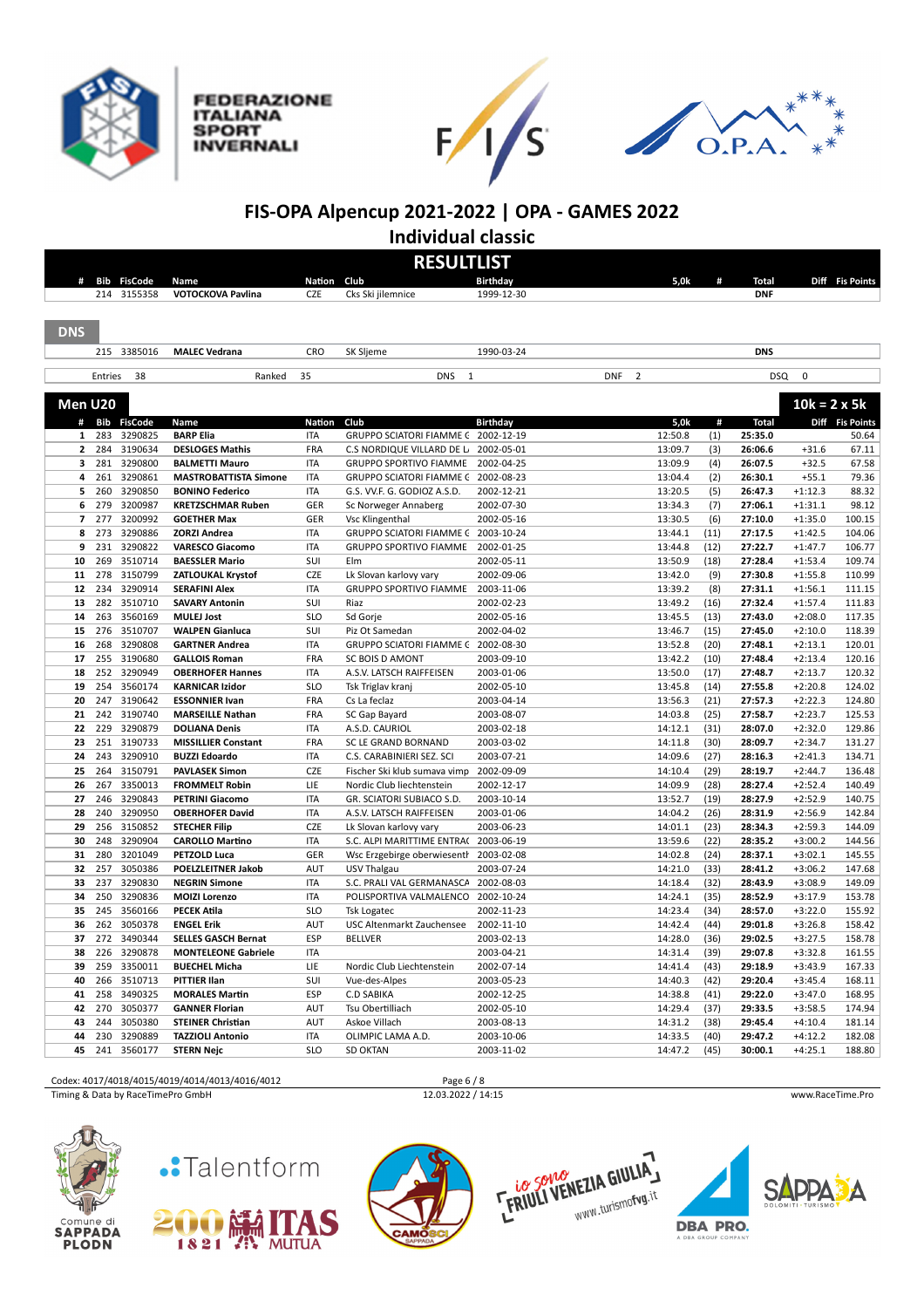

**FEDERAZIONE ITALIANA SPORT INVERNALI** 





**FIS-OPA Alpencup 2021-2022 | OPA - GAMES 2022 Individual classic**

| <b>DNS</b> | #<br>Men U20<br># Bib<br>1<br>$\overline{2}$<br>з<br>281<br>261<br>4 | Bib<br><b>FisCode</b><br>214<br>3155358<br>215 3385016<br>Entries<br><b>FisCode</b><br>283<br>3290825<br>284<br>3190634 | 38 | Name<br>VOTOCKOVA Pavlina<br><b>MALEC Vedrana</b><br>Ranked | Nation Club<br><b>CZE</b><br>CRO<br>35 | <b>RESULTLIST</b><br>Cks Ski jilemnice<br>SK Sljeme | <b>Birthday</b><br>1999-12-30<br>1990-03-24 | 5,0k                         | #           | <b>Total</b><br><b>DNF</b> |                        | Diff Fis Points  |
|------------|----------------------------------------------------------------------|-------------------------------------------------------------------------------------------------------------------------|----|-------------------------------------------------------------|----------------------------------------|-----------------------------------------------------|---------------------------------------------|------------------------------|-------------|----------------------------|------------------------|------------------|
|            |                                                                      |                                                                                                                         |    |                                                             |                                        |                                                     |                                             |                              |             |                            |                        |                  |
|            |                                                                      |                                                                                                                         |    |                                                             |                                        |                                                     |                                             |                              |             |                            |                        |                  |
|            |                                                                      |                                                                                                                         |    |                                                             |                                        |                                                     |                                             |                              |             |                            |                        |                  |
|            |                                                                      |                                                                                                                         |    |                                                             |                                        |                                                     |                                             |                              |             |                            |                        |                  |
|            |                                                                      |                                                                                                                         |    |                                                             |                                        |                                                     |                                             |                              |             |                            |                        |                  |
|            |                                                                      |                                                                                                                         |    |                                                             |                                        |                                                     |                                             |                              |             | <b>DNS</b>                 |                        |                  |
|            |                                                                      |                                                                                                                         |    |                                                             |                                        |                                                     |                                             |                              |             |                            |                        |                  |
|            |                                                                      |                                                                                                                         |    |                                                             |                                        | <b>DNS</b><br>$\mathbf{1}$                          |                                             | $\overline{2}$<br><b>DNF</b> |             | <b>DSQ</b>                 | $\mathbf 0$            |                  |
|            |                                                                      |                                                                                                                         |    |                                                             |                                        |                                                     |                                             |                              |             |                            |                        |                  |
|            |                                                                      |                                                                                                                         |    |                                                             |                                        |                                                     |                                             |                              |             |                            | $10k = 2 \times 5k$    |                  |
|            |                                                                      |                                                                                                                         |    | Name                                                        | <b>Nation</b>                          | Club                                                | <b>Birthday</b>                             | 5,0k                         | #           | <b>Total</b>               |                        | Diff Fis Points  |
|            |                                                                      |                                                                                                                         |    | <b>BARP Elia</b>                                            | <b>ITA</b>                             | GRUPPO SCIATORI FIAMME (2002-12-19                  |                                             | 12:50.8                      | (1)         | 25:35.0                    |                        | 50.64            |
|            |                                                                      |                                                                                                                         |    | <b>DESLOGES Mathis</b>                                      | FRA                                    | C.S NORDIQUE VILLARD DE L                           | 2002-05-01                                  | 13:09.7                      | (3)         | 26:06.6                    | $+31.6$                | 67.11            |
|            |                                                                      | 3290800                                                                                                                 |    | <b>BALMETTI Mauro</b>                                       | <b>ITA</b>                             | <b>GRUPPO SPORTIVO FIAMME</b>                       | 2002-04-25                                  | 13:09.9                      | (4)         | 26:07.5                    | $+32.5$                | 67.58            |
|            |                                                                      | 3290861                                                                                                                 |    | <b>MASTROBATTISTA Simone</b>                                | <b>ITA</b>                             | <b>GRUPPO SCIATORI FIAMME C</b>                     | 2002-08-23                                  | 13:04.4                      | (2)         | 26:30.1                    | $+55.1$                | 79.36            |
|            | 5                                                                    | 260<br>3290850                                                                                                          |    | <b>BONINO Federico</b>                                      | <b>ITA</b>                             | G.S. VV.F. G. GODIOZ A.S.D.                         | 2002-12-21                                  | 13:20.5                      | (5)         | 26:47.3                    | $+1:12.3$              | 88.32            |
|            | 6                                                                    | 279<br>3200987<br>277<br>3200992                                                                                        |    | <b>KRETZSCHMAR Ruben</b>                                    | GER                                    | Sc Norweger Annaberg                                | 2002-07-30                                  | 13:34.3                      | (7)         | 27:06.1                    | $+1:31.1$              | 98.12            |
|            | $\overline{\phantom{a}}$<br>8                                        | 3290886<br>273                                                                                                          |    | <b>GOETHER Max</b><br><b>ZORZI Andrea</b>                   | GER<br><b>ITA</b>                      | Vsc Klingenthal<br><b>GRUPPO SCIATORI FIAMME C</b>  | 2002-05-16<br>2003-10-24                    | 13:30.5<br>13:44.1           | (6)<br>(11) | 27:10.0<br>27:17.5         | $+1:35.0$<br>$+1:42.5$ | 100.15<br>104.06 |
|            | 9                                                                    | 231<br>3290822                                                                                                          |    | <b>VARESCO Giacomo</b>                                      | <b>ITA</b>                             | <b>GRUPPO SPORTIVO FIAMME</b>                       | 2002-01-25                                  | 13:44.8                      | (12)        | 27:22.7                    | $+1:47.7$              | 106.77           |
|            | 10                                                                   | 3510714<br>269                                                                                                          |    | <b>BAESSLER Mario</b>                                       | SUI                                    | Elm                                                 | 2002-05-11                                  | 13:50.9                      | (18)        | 27:28.4                    | $+1:53.4$              | 109.74           |
|            | 11                                                                   | 278<br>3150799                                                                                                          |    | ZATLOUKAL Krystof                                           | CZE                                    | Lk Slovan karlovy vary                              | 2002-09-06                                  | 13:42.0                      | (9)         | 27:30.8                    | $+1:55.8$              | 110.99           |
|            | 12                                                                   | 234<br>3290914                                                                                                          |    | <b>SERAFINI Alex</b>                                        | <b>ITA</b>                             | <b>GRUPPO SPORTIVO FIAMME</b>                       | 2003-11-06                                  | 13:39.2                      | (8)         | 27:31.1                    | $+1:56.1$              | 111.15           |
|            | 13                                                                   | 282<br>3510710                                                                                                          |    | <b>SAVARY Antonin</b>                                       | SUI                                    | Riaz                                                | 2002-02-23                                  | 13:49.2                      | (16)        | 27:32.4                    | $+1:57.4$              | 111.83           |
|            | 14                                                                   | 263<br>3560169                                                                                                          |    | <b>MULEJ Jost</b>                                           | <b>SLO</b>                             | Sd Gorje                                            | 2002-05-16                                  | 13:45.5                      | (13)        | 27:43.0                    | $+2:08.0$              | 117.35           |
|            | 15                                                                   | 276<br>3510707                                                                                                          |    | <b>WALPEN Gianluca</b>                                      | SUI                                    | Piz Ot Samedan                                      | 2002-04-02                                  | 13:46.7                      | (15)        | 27:45.0                    | $+2:10.0$              | 118.39           |
|            | 16                                                                   | 268<br>3290808                                                                                                          |    | <b>GARTNER Andrea</b>                                       | <b>ITA</b>                             | GRUPPO SCIATORI FIAMME C 2002-08-30                 |                                             | 13:52.8                      | (20)        | 27:48.1                    | $+2:13.1$              | 120.01           |
|            | 17                                                                   | 255<br>3190680                                                                                                          |    | <b>GALLOIS Roman</b>                                        | FRA                                    | <b>SC BOIS D AMONT</b>                              | 2003-09-10                                  | 13:42.2                      | (10)        | 27:48.4                    | $+2:13.4$              | 120.16           |
|            | 18                                                                   | 252<br>3290949                                                                                                          |    | <b>OBERHOFER Hannes</b>                                     | <b>ITA</b>                             | A.S.V. LATSCH RAIFFEISEN                            | 2003-01-06                                  | 13:50.0                      | (17)        | 27:48.7                    | $+2:13.7$              | 120.32           |
|            | 19                                                                   | 254<br>3560174                                                                                                          |    | <b>KARNICAR Izidor</b>                                      | <b>SLO</b>                             | Tsk Triglav kranj                                   | 2002-05-10                                  | 13:45.8                      | (14)        | 27:55.8                    | $+2:20.8$              | 124.02           |
|            | 20                                                                   | 3190642<br>247                                                                                                          |    | <b>ESSONNIER Ivan</b>                                       | FRA                                    | Cs La feclaz                                        | 2003-04-14                                  | 13:56.3                      | (21)        | 27:57.3                    | $+2:22.3$              | 124.80           |
|            | 21                                                                   | 242<br>3190740                                                                                                          |    | <b>MARSEILLE Nathan</b>                                     | <b>FRA</b>                             | SC Gap Bayard                                       | 2003-08-07                                  | 14:03.8                      | (25)        | 27:58.7                    | $+2:23.7$              | 125.53           |
|            | 22                                                                   | 3290879<br>229                                                                                                          |    | <b>DOLIANA Denis</b>                                        | <b>ITA</b>                             | A.S.D. CAURIOL                                      | 2003-02-18                                  | 14:12.1                      | (31)        | 28:07.0                    | $+2:32.0$              | 129.86           |
|            | 23                                                                   | 251<br>3190733                                                                                                          |    | <b>MISSILLIER Constant</b>                                  | FRA                                    | SC LE GRAND BORNAND                                 | 2003-03-02                                  | 14:11.8                      | (30)        | 28:09.7                    | $+2:34.7$              | 131.27           |
|            | 24                                                                   | 243<br>3290910                                                                                                          |    | <b>BUZZI Edoardo</b>                                        | ITA                                    | C.S. CARABINIERI SEZ. SCI                           | 2003-07-21                                  | 14:09.6                      | (27)        | 28:16.3                    | $+2:41.3$              | 134.71           |
|            | 25                                                                   | 264<br>3150791                                                                                                          |    | <b>PAVLASEK Simon</b>                                       | CZE                                    | Fischer Ski klub sumava vimp                        | 2002-09-09                                  | 14:10.4                      | (29)        | 28:19.7                    | $+2:44.7$              | 136.48           |
|            | 26                                                                   | 267<br>3350013                                                                                                          |    | <b>FROMMELT Robin</b>                                       | LIE                                    | Nordic Club liechtenstein                           | 2002-12-17                                  | 14:09.9                      | (28)        | 28:27.4                    | $+2:52.4$              | 140.49           |
|            | 27                                                                   | 246<br>3290843                                                                                                          |    | <b>PETRINI Giacomo</b>                                      | <b>ITA</b>                             | GR. SCIATORI SUBIACO S.D.                           | 2003-10-14                                  | 13:52.7                      | (19)        | 28:27.9                    | $+2:52.9$              | 140.75           |
|            | 28                                                                   | 3290950<br>240                                                                                                          |    | <b>OBERHOFER David</b>                                      | <b>ITA</b>                             | A.S.V. LATSCH RAIFFEISEN                            | 2003-01-06                                  | 14:04.2                      | (26)        | 28:31.9                    | $+2:56.9$              | 142.84           |
|            | 29                                                                   | 256<br>3150852                                                                                                          |    | <b>STECHER Filip</b>                                        | CZE                                    | Lk Slovan karlovy vary                              | 2003-06-23                                  | 14:01.1                      | (23)        | 28:34.3                    | $+2:59.3$              | 144.09           |
|            | 30                                                                   | 248<br>3290904                                                                                                          |    | <b>CAROLLO Martino</b>                                      | <b>ITA</b>                             | S.C. ALPI MARITTIME ENTRAC                          | 2003-06-19                                  | 13:59.6                      | (22)        | 28:35.2                    | $+3:00.2$              | 144.56           |
|            | 31                                                                   | 280<br>3201049                                                                                                          |    | PETZOLD Luca                                                | GER                                    | Wsc Erzgebirge oberwiesenth                         | 2003-02-08                                  | 14:02.8                      | (24)        | 28:37.1                    | $+3:02.1$              | 145.55           |
|            | 32                                                                   | 3050386<br>257                                                                                                          |    | <b>POELZLEITNER Jakob</b>                                   | AUT                                    | USV Thalgau                                         | 2003-07-24                                  | 14:21.0                      | (33)        | 28:41.2                    | $+3:06.2$              | 147.68           |
|            | 33                                                                   | 237<br>3290830                                                                                                          |    | <b>NEGRIN Simone</b>                                        | <b>ITA</b>                             | S.C. PRALI VAL GERMANASCA                           | 2002-08-03                                  | 14:18.4                      | (32)        | 28:43.9                    | $+3:08.9$              | 149.09           |
|            | 34                                                                   | 3290836<br>250                                                                                                          |    | <b>MOIZI Lorenzo</b>                                        | <b>ITA</b>                             | POLISPORTIVA VALMALENCO 2002-10-24                  |                                             | 14:24.1                      | (35)        | 28:52.9                    | $+3:17.9$              | 153.78           |
|            | 35                                                                   | 245<br>3560166                                                                                                          |    | <b>PECEK Atila</b>                                          | <b>SLO</b>                             | <b>Tsk Logatec</b>                                  | 2002-11-23                                  | 14:23.4                      | (34)        | 28:57.0                    | $+3:22.0$              | 155.92           |
|            | 36                                                                   | 262<br>3050378                                                                                                          |    | <b>ENGEL Erik</b>                                           | AUT                                    | <b>USC Altenmarkt Zauchensee</b>                    | 2002-11-10                                  | 14:42.4                      | (44)        | 29:01.8                    | $+3:26.8$              | 158.42           |
|            | 37                                                                   | 272<br>3490344                                                                                                          |    | <b>SELLES GASCH Bernat</b>                                  | ESP                                    | <b>BELLVER</b>                                      | 2003-02-13                                  | 14:28.0                      | (36)        | 29:02.5                    | $+3:27.5$              | 158.78           |
|            | 38                                                                   | 226<br>3290878                                                                                                          |    | <b>MONTELEONE Gabriele</b>                                  | <b>ITA</b>                             |                                                     | 2003-04-21                                  | 14:31.4                      | (39)        | 29:07.8                    | $+3:32.8$              | 161.55           |
|            | 39                                                                   | 259<br>3350011                                                                                                          |    | <b>BUECHEL Micha</b>                                        | LIE                                    | Nordic Club Liechtenstein                           | 2002-07-14                                  | 14:41.4                      | (43)        | 29:18.9                    | $+3:43.9$              | 167.33           |
|            | 40                                                                   | 266<br>3510713                                                                                                          |    | <b>PITTIER Ilan</b>                                         | SUI                                    | Vue-des-Alpes                                       | 2003-05-23                                  | 14:40.3                      | (42)        | 29:20.4                    | $+3:45.4$              | 168.11           |
|            | 41                                                                   | 258<br>3490325                                                                                                          |    | <b>MORALES Martin</b>                                       | ESP                                    | C.D SABIKA                                          | 2002-12-25                                  | 14:38.8                      | (41)        | 29:22.0                    | $+3:47.0$              | 168.95           |
|            | 42                                                                   | 270<br>3050377                                                                                                          |    | <b>GANNER Florian</b>                                       | AUT                                    | Tsu Obertilliach                                    | 2002-05-10                                  | 14:29.4                      | (37)        | 29:33.5                    | $+3:58.5$              | 174.94           |
|            | 43                                                                   | 244<br>3050380                                                                                                          |    | <b>STEINER Christian</b>                                    | AUT                                    | Askoe Villach                                       | 2003-08-13                                  | 14:31.2                      | (38)        | 29:45.4                    | $+4:10.4$              | 181.14           |
|            | 44                                                                   | 230<br>3290889                                                                                                          |    | <b>TAZZIOLI Antonio</b>                                     | <b>ITA</b>                             | OLIMPIC LAMA A.D.                                   | 2003-10-06                                  | 14:33.5                      | (40)        | 29:47.2                    | $+4:12.2$              | 182.08           |
|            | 45                                                                   | 241<br>3560177                                                                                                          |    | <b>STERN Nejc</b>                                           | <b>SLO</b>                             | <b>SD OKTAN</b>                                     | 2003-11-02                                  | 14:47.2                      | (45)        | 30:00.1                    | $+4:25.1$              | 188.80           |

Codex: 4017/4018/4015/4019/4014/4013/4016/4012<br>
Timing & Data by RaceTimePro GmbH 12.03.2022 / 14:15

Timing & Data by RaceTimePro GmbH 12.03.2022 / 14:15 www.RaceTime.Pro











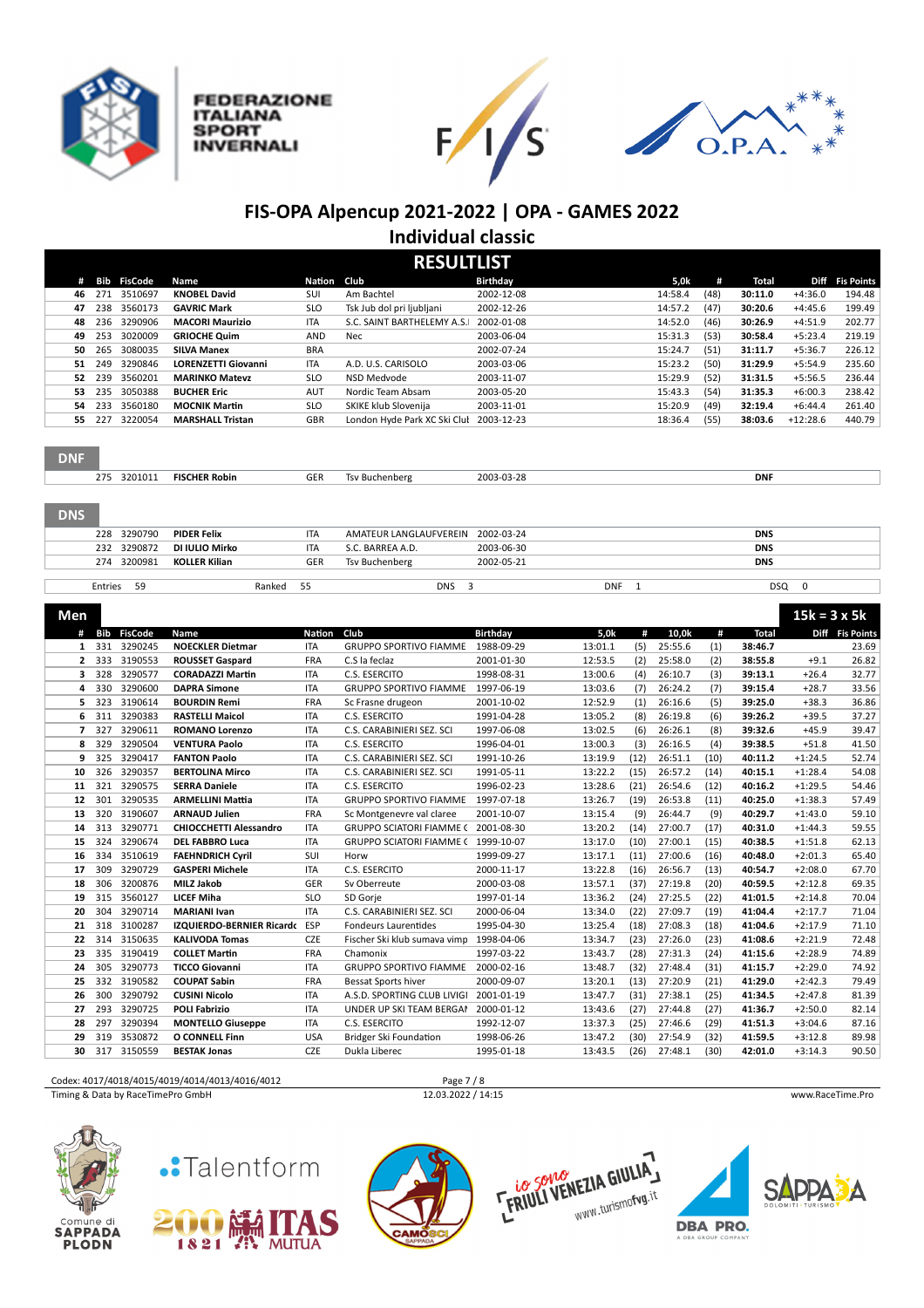







### **FIS-OPA Alpencup 2021-2022 | OPA - GAMES 2022 Individual classic**

|                |            |                |                               |             | <b>RESULTLIST</b>                   |                 |            |              |         |      |              |                     |                   |
|----------------|------------|----------------|-------------------------------|-------------|-------------------------------------|-----------------|------------|--------------|---------|------|--------------|---------------------|-------------------|
| #              | <b>Bib</b> | <b>FisCode</b> | Name                          | Nation Club |                                     | <b>Birthday</b> |            |              | 5,0k    | #    | <b>Total</b> | Diff                | <b>Fis Points</b> |
| 46             | 271        | 3510697        | <b>KNOBEL David</b>           | SUI         | Am Bachtel                          | 2002-12-08      |            |              | 14:58.4 | (48) | 30:11.0      | $+4:36.0$           | 194.48            |
| 47             | 238        | 3560173        | <b>GAVRIC Mark</b>            | <b>SLO</b>  | Tsk Jub dol pri ljubljani           | 2002-12-26      |            |              | 14:57.2 | (47) | 30:20.6      | $+4:45.6$           | 199.49            |
| 48             | 236        | 3290906        | <b>MACORI Maurizio</b>        | <b>ITA</b>  | S.C. SAINT BARTHELEMY A.S.          | 2002-01-08      |            |              | 14:52.0 | (46) | 30:26.9      | $+4:51.9$           | 202.77            |
| 49             | 253        | 3020009        | <b>GRIOCHE Quim</b>           | AND         | Nec                                 | 2003-06-04      |            |              | 15:31.3 | (53) | 30:58.4      | $+5:23.4$           | 219.19            |
| 50             | 265        | 3080035        | <b>SILVA Manex</b>            | <b>BRA</b>  |                                     | 2002-07-24      |            |              | 15:24.7 | (51) | 31:11.7      | $+5:36.7$           | 226.12            |
| 51             | 249        | 3290846        | <b>LORENZETTI Giovanni</b>    | <b>ITA</b>  | A.D. U.S. CARISOLO                  | 2003-03-06      |            |              | 15:23.2 | (50) | 31:29.9      | $+5:54.9$           | 235.60            |
| 52             | 239        | 3560201        | <b>MARINKO Matevz</b>         | <b>SLO</b>  | NSD Medvode                         | 2003-11-07      |            |              | 15:29.9 | (52) | 31:31.5      | $+5:56.5$           | 236.44            |
| 53             | 235        | 3050388        | <b>BUCHER Eric</b>            | AUT         | Nordic Team Absam                   | 2003-05-20      |            |              | 15:43.3 | (54) | 31:35.3      | $+6:00.3$           | 238.42            |
| 54             | 233        | 3560180        | <b>MOCNIK Martin</b>          | <b>SLO</b>  | SKIKE klub Slovenija                | 2003-11-01      |            |              | 15:20.9 | (49) | 32:19.4      | $+6:44.4$           | 261.40            |
| 55             | 227        | 3220054        | <b>MARSHALL Tristan</b>       | GBR         | London Hyde Park XC Ski Clul        | 2003-12-23      |            |              | 18:36.4 | (55) | 38:03.6      | $+12:28.6$          | 440.79            |
| <b>DNF</b>     |            | 275 3201011    | <b>FISCHER Robin</b>          | GER         | <b>Tsv Buchenberg</b>               | 2003-03-28      |            |              |         |      | <b>DNF</b>   |                     |                   |
| <b>DNS</b>     |            |                |                               |             |                                     |                 |            |              |         |      |              |                     |                   |
|                | 228        | 3290790        | <b>PIDER Felix</b>            | <b>ITA</b>  | AMATEUR LANGLAUFVEREIN              | 2002-03-24      |            |              |         |      | <b>DNS</b>   |                     |                   |
|                | 232        | 3290872        | DI IULIO Mirko                | <b>ITA</b>  | S.C. BARREA A.D.                    | 2003-06-30      |            |              |         |      | <b>DNS</b>   |                     |                   |
|                | 274        | 3200981        | <b>KOLLER Kilian</b>          | GER         | <b>Tsv Buchenberg</b>               | 2002-05-21      |            |              |         |      | <b>DNS</b>   |                     |                   |
|                |            |                |                               |             |                                     |                 |            |              |         |      |              |                     |                   |
|                | Entries    | 59             | Ranked                        | 55          | <b>DNS</b><br>3                     |                 | <b>DNF</b> | $\mathbf{1}$ |         |      | DSQ          | $\mathbf 0$         |                   |
| Men            |            |                |                               |             |                                     |                 |            |              |         |      |              | $15k = 3 \times 5k$ |                   |
| #              | Bib        | <b>FisCode</b> | Name                          | Nation      | Club                                | <b>Birthday</b> | 5,0k       | #            | 10,0k   | #    | Total        |                     | Diff Fis Points   |
| 1              | 331        | 3290245        | <b>NOECKLER Dietmar</b>       | <b>ITA</b>  | <b>GRUPPO SPORTIVO FIAMME</b>       | 1988-09-29      | 13:01.1    | (5)          | 25:55.6 | (1)  | 38:46.7      |                     | 23.69             |
| $\overline{2}$ | 333        | 3190553        | <b>ROUSSET Gaspard</b>        | FRA         | C.S la feclaz                       | 2001-01-30      | 12:53.5    | (2)          | 25:58.0 | (2)  | 38:55.8      | $+9.1$              | 26.82             |
| 3              | 328        | 3290577        | <b>CORADAZZI Martin</b>       | <b>ITA</b>  | C.S. ESERCITO                       | 1998-08-31      | 13:00.6    | (4)          | 26:10.7 | (3)  | 39:13.1      | $+26.4$             | 32.77             |
| 4              | 330        | 3290600        | <b>DAPRA Simone</b>           | <b>ITA</b>  | <b>GRUPPO SPORTIVO FIAMME</b>       | 1997-06-19      | 13:03.6    | (7)          | 26:24.2 | (7)  | 39:15.4      | $+28.7$             | 33.56             |
| 5              | 323        | 3190614        | <b>BOURDIN Remi</b>           | FRA         | Sc Frasne drugeon                   | 2001-10-02      | 12:52.9    | (1)          | 26:16.6 | (5)  | 39:25.0      | $+38.3$             | 36.86             |
| 6              | 311        | 3290383        | <b>RASTELLI Maicol</b>        | <b>ITA</b>  | C.S. ESERCITO                       | 1991-04-28      | 13:05.2    | (8)          | 26:19.8 | (6)  | 39:26.2      | $+39.5$             | 37.27             |
| 7              | 327        | 3290611        | <b>ROMANO Lorenzo</b>         | <b>ITA</b>  | C.S. CARABINIERI SEZ. SCI           | 1997-06-08      | 13:02.5    | (6)          | 26:26.1 | (8)  | 39:32.6      | $+45.9$             | 39.47             |
| 8              | 329        | 3290504        | <b>VENTURA Paolo</b>          | <b>ITA</b>  | C.S. ESERCITO                       | 1996-04-01      | 13:00.3    | (3)          | 26:16.5 | (4)  | 39:38.5      | $+51.8$             | 41.50             |
| 9              | 325        | 3290417        | <b>FANTON Paolo</b>           | <b>ITA</b>  | C.S. CARABINIERI SEZ. SCI           | 1991-10-26      | 13:19.9    | (12)         | 26:51.1 | (10) | 40:11.2      | $+1:24.5$           | 52.74             |
| 10             | 326        | 3290357        | <b>BERTOLINA Mirco</b>        | <b>ITA</b>  | C.S. CARABINIERI SEZ. SCI           | 1991-05-11      | 13:22.2    | (15)         | 26:57.2 | (14) | 40:15.1      | $+1:28.4$           | 54.08             |
| 11             | 321        | 3290575        | <b>SERRA Daniele</b>          | <b>ITA</b>  | C.S. ESERCITO                       | 1996-02-23      | 13:28.6    | (21)         | 26:54.6 | (12) | 40:16.2      | $+1:29.5$           | 54.46             |
| 12             | 301        | 3290535        | <b>ARMELLINI Mattia</b>       | <b>ITA</b>  | <b>GRUPPO SPORTIVO FIAMME</b>       | 1997-07-18      | 13:26.7    | (19)         | 26:53.8 | (11) | 40:25.0      | $+1:38.3$           | 57.49             |
| 13             | 320        | 3190607        | <b>ARNAUD Julien</b>          | FRA         | Sc Montgenevre val claree           | 2001-10-07      | 13:15.4    | (9)          | 26:44.7 | (9)  | 40:29.7      | $+1:43.0$           | 59.10             |
| 14             | 313        | 3290771        | <b>CHIOCCHETTI Alessandro</b> | <b>ITA</b>  | GRUPPO SCIATORI FIAMME C 2001-08-30 |                 | 13:20.2    | (14)         | 27:00.7 | (17) | 40:31.0      | $+1:44.3$           | 59.55             |
| 15             | 324        | 3290674        | <b>DEL FABBRO Luca</b>        | <b>ITA</b>  | <b>GRUPPO SCIATORI FIAMME C</b>     | 1999-10-07      | 13:17.0    | (10)         | 27:00.1 | (15) | 40:38.5      | $+1:51.8$           | 62.13             |
| 16             | 334        | 3510619        | <b>FAEHNDRICH Cyril</b>       | SUI         | Horw                                | 1999-09-27      | 13:17.1    | (11)         | 27:00.6 | (16) | 40:48.0      | $+2:01.3$           | 65.40             |
| 17             | 309        | 3290729        | <b>GASPERI Michele</b>        | <b>ITA</b>  | C.S. ESERCITO                       | 2000-11-17      | 13:22.8    | (16)         | 26:56.7 | (13) | 40:54.7      | $+2:08.0$           | 67.70             |
| 18             | 306        | 3200876        | <b>MILZ Jakob</b>             | GER         | Sv Oberreute                        | 2000-03-08      | 13:57.1    | (37)         | 27:19.8 | (20) | 40:59.5      | $+2:12.8$           | 69.35             |
| 19             | 315        | 3560127        | <b>LICEF Miha</b>             | <b>SLO</b>  | SD Gorje                            | 1997-01-14      | 13:36.2    | (24)         | 27:25.5 | (22) | 41:01.5      | $+2:14.8$           | 70.04             |
| 20             | 304        | 3290714        | <b>MARIANI Ivan</b>           | <b>ITA</b>  | C.S. CARABINIERI SEZ. SCI           | 2000-06-04      | 13:34.0    | (22)         | 27:09.7 | (19) | 41:04.4      | $+2:17.7$           | 71.04             |
| 21             | 318        | 3100287        | IZQUIERDO-BERNIER Ricardo ESP |             | Fondeurs Laurentides                | 1995-04-30      | 13:25.4    | (18)         | 27:08.3 | (18) | 41:04.6      | $+2:17.9$           | 71.10             |
| 22             | 314        | 3150635        | <b>KALIVODA Tomas</b>         | CZE         | Fischer Ski klub sumava vimp        | 1998-04-06      | 13:34.7    | (23)         | 27:26.0 | (23) | 41:08.6      | $+2:21.9$           | 72.48             |
| 23             | 335        | 3190419        | <b>COLLET Martin</b>          | <b>FRA</b>  | Chamonix                            | 1997-03-22      | 13:43.7    | (28)         | 27:31.3 | (24) | 41:15.6      | $+2:28.9$           | 74.89             |
| 24             | 305        | 3290773        | <b>TICCO Giovanni</b>         | <b>ITA</b>  | <b>GRUPPO SPORTIVO FIAMME</b>       | 2000-02-16      | 13:48.7    | (32)         | 27:48.4 | (31) | 41:15.7      | $+2:29.0$           | 74.92             |
| 25             | 332        | 3190582        | <b>COUPAT Sabin</b>           | <b>FRA</b>  | <b>Bessat Sports hiver</b>          | 2000-09-07      | 13:20.1    | (13)         | 27:20.9 | (21) | 41:29.0      | $+2:42.3$           | 79.49             |
| 26             | 300        | 3290792        | <b>CUSINI Nicolo</b>          | <b>ITA</b>  | A.S.D. SPORTING CLUB LIVIGI         | 2001-01-19      | 13:47.7    | (31)         | 27:38.1 | (25) | 41:34.5      | $+2:47.8$           | 81.39             |
| 27             | 293        | 3290725        | <b>POLI Fabrizio</b>          | <b>ITA</b>  | UNDER UP SKI TEAM BERGAN            | 2000-01-12      | 13:43.6    | (27)         | 27:44.8 | (27) | 41:36.7      | $+2:50.0$           | 82.14             |
| 28             | 297        | 3290394        | <b>MONTELLO Giuseppe</b>      | <b>ITA</b>  | C.S. ESERCITO                       | 1992-12-07      | 13:37.3    | (25)         | 27:46.6 | (29) | 41:51.3      | $+3:04.6$           | 87.16             |
| 29             | 319        | 3530872        | O CONNELL Finn                | <b>USA</b>  | Bridger Ski Foundation              | 1998-06-26      | 13:47.2    | (30)         | 27:54.9 | (32) | 41:59.5      | $+3:12.8$           | 89.98             |
| 30             | 317        | 3150559        | <b>BESTAK Jonas</b>           | <b>CZE</b>  | Dukla Liberec                       | 1995-01-18      | 13:43.5    | (26)         | 27:48.1 | (30) | 42:01.0      | $+3:14.3$           | 90.50             |